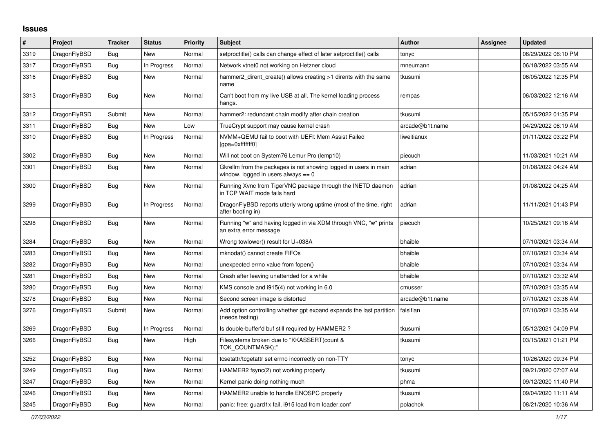## **Issues**

| $\#$ | Project      | <b>Tracker</b> | <b>Status</b> | <b>Priority</b> | <b>Subject</b>                                                                                            | <b>Author</b>   | Assignee | <b>Updated</b>      |
|------|--------------|----------------|---------------|-----------------|-----------------------------------------------------------------------------------------------------------|-----------------|----------|---------------------|
| 3319 | DragonFlyBSD | Bug            | <b>New</b>    | Normal          | setproctitle() calls can change effect of later setproctitle() calls                                      | tonyc           |          | 06/29/2022 06:10 PM |
| 3317 | DragonFlyBSD | <b>Bug</b>     | In Progress   | Normal          | Network vtnet0 not working on Hetzner cloud                                                               | mneumann        |          | 06/18/2022 03:55 AM |
| 3316 | DragonFlyBSD | <b>Bug</b>     | New           | Normal          | hammer2_dirent_create() allows creating >1 dirents with the same<br>name                                  | tkusumi         |          | 06/05/2022 12:35 PM |
| 3313 | DragonFlyBSD | Bug            | New           | Normal          | Can't boot from my live USB at all. The kernel loading process<br>hangs.                                  | rempas          |          | 06/03/2022 12:16 AM |
| 3312 | DragonFlyBSD | Submit         | <b>New</b>    | Normal          | hammer2: redundant chain modify after chain creation                                                      | tkusumi         |          | 05/15/2022 01:35 PM |
| 3311 | DragonFlyBSD | Bug            | <b>New</b>    | Low             | TrueCrypt support may cause kernel crash                                                                  | arcade@b1t.name |          | 04/29/2022 06:19 AM |
| 3310 | DragonFlyBSD | <b>Bug</b>     | In Progress   | Normal          | NVMM+QEMU fail to boot with UEFI: Mem Assist Failed<br>[qpa=0xfffffff0]                                   | liweitianux     |          | 01/11/2022 03:22 PM |
| 3302 | DragonFlyBSD | <b>Bug</b>     | <b>New</b>    | Normal          | Will not boot on System76 Lemur Pro (lemp10)                                                              | piecuch         |          | 11/03/2021 10:21 AM |
| 3301 | DragonFlyBSD | <b>Bug</b>     | <b>New</b>    | Normal          | Gkrellm from the packages is not showing logged in users in main<br>window, logged in users always $== 0$ | adrian          |          | 01/08/2022 04:24 AM |
| 3300 | DragonFlyBSD | Bug            | <b>New</b>    | Normal          | Running Xvnc from TigerVNC package through the INETD daemon<br>in TCP WAIT mode fails hard                | adrian          |          | 01/08/2022 04:25 AM |
| 3299 | DragonFlyBSD | Bug            | In Progress   | Normal          | DragonFlyBSD reports utterly wrong uptime (most of the time, right<br>after booting in)                   | adrian          |          | 11/11/2021 01:43 PM |
| 3298 | DragonFlyBSD | <b>Bug</b>     | New           | Normal          | Running "w" and having logged in via XDM through VNC, "w" prints<br>an extra error message                | piecuch         |          | 10/25/2021 09:16 AM |
| 3284 | DragonFlyBSD | <b>Bug</b>     | New           | Normal          | Wrong towlower() result for U+038A                                                                        | bhaible         |          | 07/10/2021 03:34 AM |
| 3283 | DragonFlyBSD | <b>Bug</b>     | New           | Normal          | mknodat() cannot create FIFOs                                                                             | bhaible         |          | 07/10/2021 03:34 AM |
| 3282 | DragonFlyBSD | <b>Bug</b>     | <b>New</b>    | Normal          | unexpected errno value from fopen()                                                                       | bhaible         |          | 07/10/2021 03:34 AM |
| 3281 | DragonFlyBSD | Bug            | <b>New</b>    | Normal          | Crash after leaving unattended for a while                                                                | bhaible         |          | 07/10/2021 03:32 AM |
| 3280 | DragonFlyBSD | Bug            | <b>New</b>    | Normal          | KMS console and i915(4) not working in 6.0                                                                | cmusser         |          | 07/10/2021 03:35 AM |
| 3278 | DragonFlyBSD | Bug            | <b>New</b>    | Normal          | Second screen image is distorted                                                                          | arcade@b1t.name |          | 07/10/2021 03:36 AM |
| 3276 | DragonFlyBSD | Submit         | New           | Normal          | Add option controlling whether gpt expand expands the last partition<br>(needs testing)                   | falsifian       |          | 07/10/2021 03:35 AM |
| 3269 | DragonFlyBSD | Bug            | In Progress   | Normal          | Is double-buffer'd buf still required by HAMMER2?                                                         | tkusumi         |          | 05/12/2021 04:09 PM |
| 3266 | DragonFlyBSD | <b>Bug</b>     | <b>New</b>    | High            | Filesystems broken due to "KKASSERT(count &<br>TOK COUNTMASK);"                                           | tkusumi         |          | 03/15/2021 01:21 PM |
| 3252 | DragonFlyBSD | <b>Bug</b>     | <b>New</b>    | Normal          | tcsetattr/tcgetattr set errno incorrectly on non-TTY                                                      | tonyc           |          | 10/26/2020 09:34 PM |
| 3249 | DragonFlyBSD | <b>Bug</b>     | <b>New</b>    | Normal          | HAMMER2 fsync(2) not working properly                                                                     | tkusumi         |          | 09/21/2020 07:07 AM |
| 3247 | DragonFlyBSD | <b>Bug</b>     | New           | Normal          | Kernel panic doing nothing much                                                                           | phma            |          | 09/12/2020 11:40 PM |
| 3246 | DragonFlyBSD | Bug            | <b>New</b>    | Normal          | HAMMER2 unable to handle ENOSPC properly                                                                  | tkusumi         |          | 09/04/2020 11:11 AM |
| 3245 | DragonFlyBSD | <b>Bug</b>     | New           | Normal          | panic: free: guard1x fail, i915 load from loader.conf                                                     | polachok        |          | 08/21/2020 10:36 AM |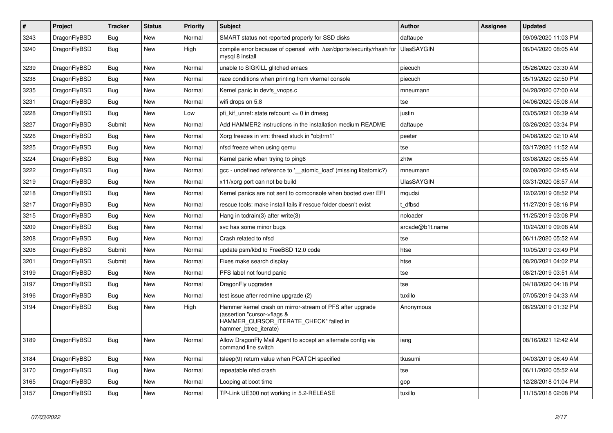| $\vert$ # | <b>Project</b> | <b>Tracker</b> | <b>Status</b> | <b>Priority</b> | <b>Subject</b>                                                                                                                                              | Author            | Assignee | <b>Updated</b>      |
|-----------|----------------|----------------|---------------|-----------------|-------------------------------------------------------------------------------------------------------------------------------------------------------------|-------------------|----------|---------------------|
| 3243      | DragonFlyBSD   | Bug            | <b>New</b>    | Normal          | SMART status not reported properly for SSD disks                                                                                                            | daftaupe          |          | 09/09/2020 11:03 PM |
| 3240      | DragonFlyBSD   | Bug            | New           | High            | compile error because of openssl with /usr/dports/security/rhash for<br>mysgl 8 install                                                                     | <b>UlasSAYGIN</b> |          | 06/04/2020 08:05 AM |
| 3239      | DragonFlyBSD   | <b>Bug</b>     | New           | Normal          | unable to SIGKILL glitched emacs                                                                                                                            | piecuch           |          | 05/26/2020 03:30 AM |
| 3238      | DragonFlyBSD   | Bug            | New           | Normal          | race conditions when printing from vkernel console                                                                                                          | piecuch           |          | 05/19/2020 02:50 PM |
| 3235      | DragonFlyBSD   | <b>Bug</b>     | New           | Normal          | Kernel panic in devfs vnops.c                                                                                                                               | mneumann          |          | 04/28/2020 07:00 AM |
| 3231      | DragonFlyBSD   | <b>Bug</b>     | New           | Normal          | wifi drops on 5.8                                                                                                                                           | tse               |          | 04/06/2020 05:08 AM |
| 3228      | DragonFlyBSD   | <b>Bug</b>     | New           | Low             | pfi kif unref: state refcount $\leq$ 0 in dmesg                                                                                                             | justin            |          | 03/05/2021 06:39 AM |
| 3227      | DragonFlyBSD   | Submit         | New           | Normal          | Add HAMMER2 instructions in the installation medium README                                                                                                  | daftaupe          |          | 03/26/2020 03:34 PM |
| 3226      | DragonFlyBSD   | <b>Bug</b>     | New           | Normal          | Xorg freezes in vm: thread stuck in "objtrm1"                                                                                                               | peeter            |          | 04/08/2020 02:10 AM |
| 3225      | DragonFlyBSD   | <b>Bug</b>     | New           | Normal          | nfsd freeze when using gemu                                                                                                                                 | tse               |          | 03/17/2020 11:52 AM |
| 3224      | DragonFlyBSD   | <b>Bug</b>     | New           | Normal          | Kernel panic when trying to ping6                                                                                                                           | zhtw              |          | 03/08/2020 08:55 AM |
| 3222      | DragonFlyBSD   | Bug            | New           | Normal          | gcc - undefined reference to '___ atomic_load' (missing libatomic?)                                                                                         | mneumann          |          | 02/08/2020 02:45 AM |
| 3219      | DragonFlyBSD   | <b>Bug</b>     | <b>New</b>    | Normal          | x11/xorg port can not be build                                                                                                                              | <b>UlasSAYGIN</b> |          | 03/31/2020 08:57 AM |
| 3218      | DragonFlyBSD   | <b>Bug</b>     | New           | Normal          | Kernel panics are not sent to comconsole when booted over EFI                                                                                               | mqudsi            |          | 12/02/2019 08:52 PM |
| 3217      | DragonFlyBSD   | <b>Bug</b>     | New           | Normal          | rescue tools: make install fails if rescue folder doesn't exist                                                                                             | t dfbsd           |          | 11/27/2019 08:16 PM |
| 3215      | DragonFlyBSD   | Bug            | <b>New</b>    | Normal          | Hang in tcdrain(3) after write(3)                                                                                                                           | noloader          |          | 11/25/2019 03:08 PM |
| 3209      | DragonFlyBSD   | Bug            | New           | Normal          | svc has some minor bugs                                                                                                                                     | arcade@b1t.name   |          | 10/24/2019 09:08 AM |
| 3208      | DragonFlyBSD   | <b>Bug</b>     | New           | Normal          | Crash related to nfsd                                                                                                                                       | tse               |          | 06/11/2020 05:52 AM |
| 3206      | DragonFlyBSD   | Submit         | New           | Normal          | update psm/kbd to FreeBSD 12.0 code                                                                                                                         | htse              |          | 10/05/2019 03:49 PM |
| 3201      | DragonFlyBSD   | Submit         | New           | Normal          | Fixes make search display                                                                                                                                   | htse              |          | 08/20/2021 04:02 PM |
| 3199      | DragonFlyBSD   | Bug            | New           | Normal          | PFS label not found panic                                                                                                                                   | tse               |          | 08/21/2019 03:51 AM |
| 3197      | DragonFlyBSD   | <b>Bug</b>     | New           | Normal          | DragonFly upgrades                                                                                                                                          | tse               |          | 04/18/2020 04:18 PM |
| 3196      | DragonFlyBSD   | <b>Bug</b>     | <b>New</b>    | Normal          | test issue after redmine upgrade (2)                                                                                                                        | tuxillo           |          | 07/05/2019 04:33 AM |
| 3194      | DragonFlyBSD   | Bug            | New           | High            | Hammer kernel crash on mirror-stream of PFS after upgrade<br>(assertion "cursor->flags &<br>HAMMER_CURSOR_ITERATE_CHECK" failed in<br>hammer btree iterate) | Anonymous         |          | 06/29/2019 01:32 PM |
| 3189      | DragonFlyBSD   | <b>Bug</b>     | <b>New</b>    | Normal          | Allow DragonFly Mail Agent to accept an alternate config via<br>command line switch                                                                         | iang              |          | 08/16/2021 12:42 AM |
| 3184      | DragonFlyBSD   | <b>Bug</b>     | New           | Normal          | tsleep(9) return value when PCATCH specified                                                                                                                | tkusumi           |          | 04/03/2019 06:49 AM |
| 3170      | DragonFlyBSD   | Bug            | New           | Normal          | repeatable nfsd crash                                                                                                                                       | tse               |          | 06/11/2020 05:52 AM |
| 3165      | DragonFlyBSD   | <b>Bug</b>     | New           | Normal          | Looping at boot time                                                                                                                                        | gop               |          | 12/28/2018 01:04 PM |
| 3157      | DragonFlyBSD   | Bug            | <b>New</b>    | Normal          | TP-Link UE300 not working in 5.2-RELEASE                                                                                                                    | tuxillo           |          | 11/15/2018 02:08 PM |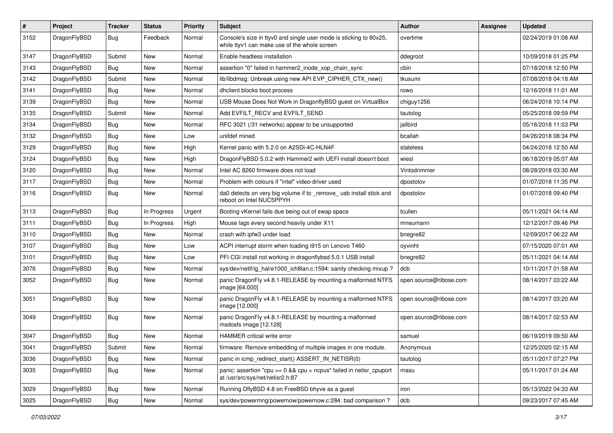| #    | Project      | <b>Tracker</b> | <b>Status</b> | <b>Priority</b> | Subject                                                                                                            | Author                 | Assignee | <b>Updated</b>      |
|------|--------------|----------------|---------------|-----------------|--------------------------------------------------------------------------------------------------------------------|------------------------|----------|---------------------|
| 3152 | DragonFlyBSD | Bug            | Feedback      | Normal          | Console's size in ttyv0 and single user mode is sticking to 80x25,<br>while ttyv1 can make use of the whole screen | overtime               |          | 02/24/2019 01:08 AM |
| 3147 | DragonFlyBSD | Submit         | New           | Normal          | Enable headless installation                                                                                       | ddegroot               |          | 10/09/2018 01:25 PM |
| 3143 | DragonFlyBSD | Bug            | <b>New</b>    | Normal          | assertion "0" failed in hammer2 inode xop chain sync                                                               | cbin                   |          | 07/18/2018 12:50 PM |
| 3142 | DragonFlyBSD | Submit         | <b>New</b>    | Normal          | lib/libdmsg: Unbreak using new API EVP_CIPHER_CTX_new()                                                            | tkusumi                |          | 07/08/2018 04:18 AM |
| 3141 | DragonFlyBSD | <b>Bug</b>     | New           | Normal          | dhclient blocks boot process                                                                                       | rowo                   |          | 12/16/2018 11:01 AM |
| 3139 | DragonFlyBSD | Bug            | <b>New</b>    | Normal          | USB Mouse Does Not Work in DragonflyBSD guest on VirtualBox                                                        | chiguy1256             |          | 06/24/2018 10:14 PM |
| 3135 | DragonFlyBSD | Submit         | New           | Normal          | Add EVFILT_RECV and EVFILT_SEND                                                                                    | tautolog               |          | 05/25/2018 09:59 PM |
| 3134 | DragonFlyBSD | Bug            | <b>New</b>    | Normal          | RFC 3021 (/31 networks) appear to be unsupported                                                                   | jailbird               |          | 05/16/2018 11:03 PM |
| 3132 | DragonFlyBSD | Bug            | <b>New</b>    | Low             | unifdef mined                                                                                                      | bcallah                |          | 04/26/2018 08:34 PM |
| 3129 | DragonFlyBSD | <b>Bug</b>     | <b>New</b>    | High            | Kernel panic with 5.2.0 on A2SDi-4C-HLN4F                                                                          | stateless              |          | 04/24/2018 12:50 AM |
| 3124 | DragonFlyBSD | Bug            | <b>New</b>    | High            | DragonFlyBSD 5.0.2 with Hammer2 with UEFI install doesn't boot                                                     | wiesl                  |          | 06/18/2019 05:07 AM |
| 3120 | DragonFlyBSD | <b>Bug</b>     | New           | Normal          | Intel AC 8260 firmware does not load                                                                               | Vintodrimmer           |          | 08/28/2018 03:30 AM |
| 3117 | DragonFlyBSD | Bug            | <b>New</b>    | Normal          | Problem with colours if "intel" video-driver used                                                                  | dpostolov              |          | 01/07/2018 11:35 PM |
| 3116 | DragonFlyBSD | Bug            | New           | Normal          | da0 detects on very big volume if to _remove_ usb install stick and<br>reboot on Intel NUC5PPYH                    | dpostolov              |          | 01/07/2018 09:40 PM |
| 3113 | DragonFlyBSD | Bug            | In Progress   | Urgent          | Booting vKernel fails due being out of swap space                                                                  | tcullen                |          | 05/11/2021 04:14 AM |
| 3111 | DragonFlyBSD | <b>Bug</b>     | In Progress   | High            | Mouse lags every second heavily under X11                                                                          | mneumann               |          | 12/12/2017 09:46 PM |
| 3110 | DragonFlyBSD | <b>Bug</b>     | New           | Normal          | crash with ipfw3 under load                                                                                        | bnegre82               |          | 12/09/2017 06:22 AM |
| 3107 | DragonFlyBSD | Bug            | <b>New</b>    | Low             | ACPI interrupt storm when loading i915 on Lenovo T460                                                              | oyvinht                |          | 07/15/2020 07:01 AM |
| 3101 | DragonFlyBSD | <b>Bug</b>     | New           | Low             | PFI CGI install not working in dragonflybsd 5.0.1 USB install                                                      | bnegre82               |          | 05/11/2021 04:14 AM |
| 3076 | DragonFlyBSD | Bug            | <b>New</b>    | Normal          | sys/dev/netif/ig_hal/e1000_ich8lan.c:1594: sanity checking mixup?                                                  | dcb                    |          | 10/11/2017 01:58 AM |
| 3052 | DragonFlyBSD | Bug            | New           | Normal          | panic DragonFly v4.8.1-RELEASE by mounting a malformed NTFS<br>image [64.000]                                      | open.source@ribose.com |          | 08/14/2017 03:22 AM |
| 3051 | DragonFlyBSD | Bug            | <b>New</b>    | Normal          | panic DragonFly v4.8.1-RELEASE by mounting a malformed NTFS<br>image [12.000]                                      | open.source@ribose.com |          | 08/14/2017 03:20 AM |
| 3049 | DragonFlyBSD | Bug            | <b>New</b>    | Normal          | panic DragonFly v4.8.1-RELEASE by mounting a malformed<br>msdosfs image [12.128]                                   | open.source@ribose.com |          | 08/14/2017 02:53 AM |
| 3047 | DragonFlyBSD | <b>Bug</b>     | <b>New</b>    | Normal          | HAMMER critical write error                                                                                        | samuel                 |          | 06/19/2019 09:50 AM |
| 3041 | DragonFlyBSD | Submit         | New           | Normal          | firmware: Remove embedding of multiple images in one module.                                                       | Anonymous              |          | 12/25/2020 02:15 AM |
| 3036 | DragonFlyBSD | Bug            | New           | Normal          | panic in icmp_redirect_start() ASSERT_IN_NETISR(0)                                                                 | tautolog               |          | 05/11/2017 07:27 PM |
| 3035 | DragonFlyBSD | Bug            | New           | Normal          | panic: assertion "cpu >= 0 && cpu < ncpus" failed in netisr_cpuport<br>at /usr/src/sys/net/netisr2.h:87            | masu                   |          | 05/11/2017 01:24 AM |
| 3029 | DragonFlyBSD | <b>Bug</b>     | New           | Normal          | Running DflyBSD 4.8 on FreeBSD bhyve as a guest                                                                    | iron                   |          | 05/13/2022 04:33 AM |
| 3025 | DragonFlyBSD | <b>Bug</b>     | New           | Normal          | sys/dev/powermng/powernow/powernow.c:284: bad comparison?                                                          | dcb                    |          | 09/23/2017 07:45 AM |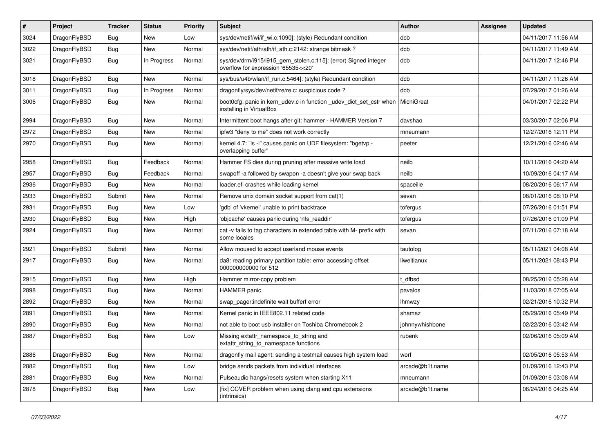| $\sharp$ | Project      | <b>Tracker</b> | <b>Status</b> | <b>Priority</b> | Subject                                                                                                | Author          | Assignee | <b>Updated</b>      |
|----------|--------------|----------------|---------------|-----------------|--------------------------------------------------------------------------------------------------------|-----------------|----------|---------------------|
| 3024     | DragonFlyBSD | Bug            | <b>New</b>    | Low             | sys/dev/netif/wi/if_wi.c:1090]: (style) Redundant condition                                            | dcb             |          | 04/11/2017 11:56 AM |
| 3022     | DragonFlyBSD | Bug            | <b>New</b>    | Normal          | sys/dev/netif/ath/ath/if_ath.c:2142: strange bitmask?                                                  | dcb             |          | 04/11/2017 11:49 AM |
| 3021     | DragonFlyBSD | <b>Bug</b>     | In Progress   | Normal          | sys/dev/drm/i915/i915_gem_stolen.c:115]: (error) Signed integer<br>overflow for expression '65535<<20' | dcb             |          | 04/11/2017 12:46 PM |
| 3018     | DragonFlyBSD | Bug            | <b>New</b>    | Normal          | sys/bus/u4b/wlan/if_run.c:5464]: (style) Redundant condition                                           | dcb             |          | 04/11/2017 11:26 AM |
| 3011     | DragonFlyBSD | <b>Bug</b>     | In Progress   | Normal          | dragonfly/sys/dev/netif/re/re.c: suspicious code ?                                                     | dcb             |          | 07/29/2017 01:26 AM |
| 3006     | DragonFlyBSD | <b>Bug</b>     | <b>New</b>    | Normal          | boot0cfg: panic in kern_udev.c in function _udev_dict_set_cstr when<br>installing in VirtualBox        | MichiGreat      |          | 04/01/2017 02:22 PM |
| 2994     | DragonFlyBSD | Bug            | <b>New</b>    | Normal          | Intermittent boot hangs after git: hammer - HAMMER Version 7                                           | davshao         |          | 03/30/2017 02:06 PM |
| 2972     | DragonFlyBSD | Bug            | <b>New</b>    | Normal          | ipfw3 "deny to me" does not work correctly                                                             | mneumann        |          | 12/27/2016 12:11 PM |
| 2970     | DragonFlyBSD | Bug            | <b>New</b>    | Normal          | kernel 4.7: "Is -I" causes panic on UDF filesystem: "bgetvp -<br>overlapping buffer"                   | peeter          |          | 12/21/2016 02:46 AM |
| 2958     | DragonFlyBSD | Bug            | Feedback      | Normal          | Hammer FS dies during pruning after massive write load                                                 | neilb           |          | 10/11/2016 04:20 AM |
| 2957     | DragonFlyBSD | <b>Bug</b>     | Feedback      | Normal          | swapoff -a followed by swapon -a doesn't give your swap back                                           | neilb           |          | 10/09/2016 04:17 AM |
| 2936     | DragonFlyBSD | Bug            | <b>New</b>    | Normal          | loader.efi crashes while loading kernel                                                                | spaceille       |          | 08/20/2016 06:17 AM |
| 2933     | DragonFlyBSD | Submit         | New           | Normal          | Remove unix domain socket support from cat(1)                                                          | sevan           |          | 08/01/2016 08:10 PM |
| 2931     | DragonFlyBSD | <b>Bug</b>     | <b>New</b>    | Low             | 'gdb' of 'vkernel' unable to print backtrace                                                           | tofergus        |          | 07/26/2016 01:51 PM |
| 2930     | DragonFlyBSD | Bug            | <b>New</b>    | High            | 'objcache' causes panic during 'nfs_readdir'                                                           | tofergus        |          | 07/26/2016 01:09 PM |
| 2924     | DragonFlyBSD | <b>Bug</b>     | <b>New</b>    | Normal          | cat -v fails to tag characters in extended table with M- prefix with<br>some locales                   | sevan           |          | 07/11/2016 07:18 AM |
| 2921     | DragonFlyBSD | Submit         | <b>New</b>    | Normal          | Allow moused to accept userland mouse events                                                           | tautolog        |          | 05/11/2021 04:08 AM |
| 2917     | DragonFlyBSD | Bug            | New           | Normal          | da8: reading primary partition table: error accessing offset<br>000000000000 for 512                   | liweitianux     |          | 05/11/2021 08:43 PM |
| 2915     | DragonFlyBSD | Bug            | <b>New</b>    | High            | Hammer mirror-copy problem                                                                             | t dfbsd         |          | 08/25/2016 05:28 AM |
| 2898     | DragonFlyBSD | <b>Bug</b>     | <b>New</b>    | Normal          | <b>HAMMER</b> panic                                                                                    | pavalos         |          | 11/03/2018 07:05 AM |
| 2892     | DragonFlyBSD | Bug            | <b>New</b>    | Normal          | swap pager:indefinite wait bufferf error                                                               | <b>Ihmwzy</b>   |          | 02/21/2016 10:32 PM |
| 2891     | DragonFlyBSD | <b>Bug</b>     | <b>New</b>    | Normal          | Kernel panic in IEEE802.11 related code                                                                | shamaz          |          | 05/29/2016 05:49 PM |
| 2890     | DragonFlyBSD | <b>Bug</b>     | New           | Normal          | not able to boot usb installer on Toshiba Chromebook 2                                                 | johnnywhishbone |          | 02/22/2016 03:42 AM |
| 2887     | DragonFlyBSD | Bug            | <b>New</b>    | Low             | Missing extattr_namespace_to_string and<br>extattr_string_to_namespace functions                       | rubenk          |          | 02/06/2016 05:09 AM |
| 2886     | DragonFlyBSD | Bug            | New           | Normal          | dragonfly mail agent: sending a testmail causes high system load                                       | worf            |          | 02/05/2016 05:53 AM |
| 2882     | DragonFlyBSD | Bug            | New           | Low             | bridge sends packets from individual interfaces                                                        | arcade@b1t.name |          | 01/09/2016 12:43 PM |
| 2881     | DragonFlyBSD | <b>Bug</b>     | New           | Normal          | Pulseaudio hangs/resets system when starting X11                                                       | mneumann        |          | 01/09/2016 03:08 AM |
| 2878     | DragonFlyBSD | <b>Bug</b>     | New           | Low             | [fix] CCVER problem when using clang and cpu extensions<br>(intrinsics)                                | arcade@b1t.name |          | 06/24/2016 04:25 AM |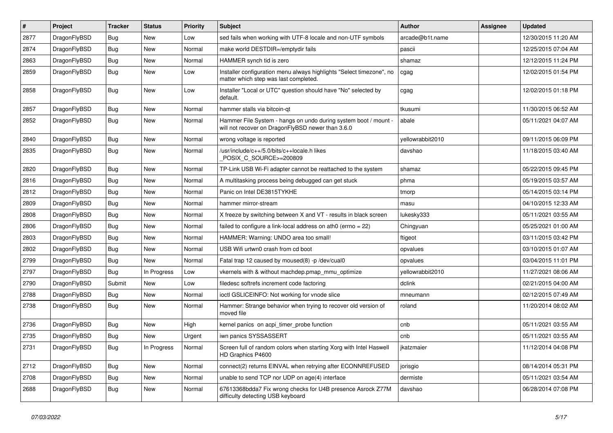| #    | Project      | <b>Tracker</b> | <b>Status</b> | <b>Priority</b> | <b>Subject</b>                                                                                                       | <b>Author</b>    | Assignee | <b>Updated</b>      |
|------|--------------|----------------|---------------|-----------------|----------------------------------------------------------------------------------------------------------------------|------------------|----------|---------------------|
| 2877 | DragonFlyBSD | <b>Bug</b>     | <b>New</b>    | Low             | sed fails when working with UTF-8 locale and non-UTF symbols                                                         | arcade@b1t.name  |          | 12/30/2015 11:20 AM |
| 2874 | DragonFlyBSD | <b>Bug</b>     | <b>New</b>    | Normal          | make world DESTDIR=/emptydir fails                                                                                   | pascii           |          | 12/25/2015 07:04 AM |
| 2863 | DragonFlyBSD | <b>Bug</b>     | <b>New</b>    | Normal          | HAMMER synch tid is zero                                                                                             | shamaz           |          | 12/12/2015 11:24 PM |
| 2859 | DragonFlyBSD | Bug            | <b>New</b>    | Low             | Installer configuration menu always highlights "Select timezone", no<br>matter which step was last completed.        | cgag             |          | 12/02/2015 01:54 PM |
| 2858 | DragonFlyBSD | Bug            | New           | Low             | Installer "Local or UTC" question should have "No" selected by<br>default.                                           | cgag             |          | 12/02/2015 01:18 PM |
| 2857 | DragonFlyBSD | <b>Bug</b>     | <b>New</b>    | Normal          | hammer stalls via bitcoin-qt                                                                                         | tkusumi          |          | 11/30/2015 06:52 AM |
| 2852 | DragonFlyBSD | Bug            | <b>New</b>    | Normal          | Hammer File System - hangs on undo during system boot / mount -<br>will not recover on DragonFlyBSD newer than 3.6.0 | abale            |          | 05/11/2021 04:07 AM |
| 2840 | DragonFlyBSD | <b>Bug</b>     | <b>New</b>    | Normal          | wrong voltage is reported                                                                                            | yellowrabbit2010 |          | 09/11/2015 06:09 PM |
| 2835 | DragonFlyBSD | Bug            | <b>New</b>    | Normal          | /usr/include/c++/5.0/bits/c++locale.h likes<br>POSIX_C_SOURCE>=200809                                                | davshao          |          | 11/18/2015 03:40 AM |
| 2820 | DragonFlyBSD | <b>Bug</b>     | <b>New</b>    | Normal          | TP-Link USB Wi-Fi adapter cannot be reattached to the system                                                         | shamaz           |          | 05/22/2015 09:45 PM |
| 2816 | DragonFlyBSD | Bug            | <b>New</b>    | Normal          | A multitasking process being debugged can get stuck                                                                  | phma             |          | 05/19/2015 03:57 AM |
| 2812 | DragonFlyBSD | <b>Bug</b>     | <b>New</b>    | Normal          | Panic on Intel DE3815TYKHE                                                                                           | tmorp            |          | 05/14/2015 03:14 PM |
| 2809 | DragonFlyBSD | Bug            | <b>New</b>    | Normal          | hammer mirror-stream                                                                                                 | masu             |          | 04/10/2015 12:33 AM |
| 2808 | DragonFlyBSD | <b>Bug</b>     | <b>New</b>    | Normal          | X freeze by switching between X and VT - results in black screen                                                     | lukesky333       |          | 05/11/2021 03:55 AM |
| 2806 | DragonFlyBSD | <b>Bug</b>     | <b>New</b>    | Normal          | failed to configure a link-local address on ath0 (errno = 22)                                                        | Chingyuan        |          | 05/25/2021 01:00 AM |
| 2803 | DragonFlyBSD | Bug            | <b>New</b>    | Normal          | HAMMER: Warning: UNDO area too small!                                                                                | ftigeot          |          | 03/11/2015 03:42 PM |
| 2802 | DragonFlyBSD | <b>Bug</b>     | <b>New</b>    | Normal          | USB Wifi urtwn0 crash from cd boot                                                                                   | opvalues         |          | 03/10/2015 01:07 AM |
| 2799 | DragonFlyBSD | <b>Bug</b>     | New           | Normal          | Fatal trap 12 caused by moused(8) -p/dev/cual0                                                                       | opvalues         |          | 03/04/2015 11:01 PM |
| 2797 | DragonFlyBSD | Bug            | In Progress   | Low             | vkernels with & without machdep.pmap_mmu_optimize                                                                    | yellowrabbit2010 |          | 11/27/2021 08:06 AM |
| 2790 | DragonFlyBSD | Submit         | <b>New</b>    | Low             | filedesc softrefs increment code factoring                                                                           | dclink           |          | 02/21/2015 04:00 AM |
| 2788 | DragonFlyBSD | Bug            | <b>New</b>    | Normal          | ioctl GSLICEINFO: Not working for vnode slice                                                                        | mneumann         |          | 02/12/2015 07:49 AM |
| 2738 | DragonFlyBSD | Bug            | <b>New</b>    | Normal          | Hammer: Strange behavior when trying to recover old version of<br>moved file                                         | roland           |          | 11/20/2014 08:02 AM |
| 2736 | DragonFlyBSD | Bug            | <b>New</b>    | High            | kernel panics on acpi_timer_probe function                                                                           | cnb              |          | 05/11/2021 03:55 AM |
| 2735 | DragonFlyBSD | <b>Bug</b>     | <b>New</b>    | Urgent          | iwn panics SYSSASSERT                                                                                                | cnb              |          | 05/11/2021 03:55 AM |
| 2731 | DragonFlyBSD | Bug            | In Progress   | Normal          | Screen full of random colors when starting Xorg with Intel Haswell<br>HD Graphics P4600                              | jkatzmaier       |          | 11/12/2014 04:08 PM |
| 2712 | DragonFlyBSD | <b>Bug</b>     | New           | Normal          | connect(2) returns EINVAL when retrying after ECONNREFUSED                                                           | jorisgio         |          | 08/14/2014 05:31 PM |
| 2708 | DragonFlyBSD | <b>Bug</b>     | New           | Normal          | unable to send TCP nor UDP on age(4) interface                                                                       | dermiste         |          | 05/11/2021 03:54 AM |
| 2688 | DragonFlyBSD | <b>Bug</b>     | New           | Normal          | 67613368bdda7 Fix wrong checks for U4B presence Asrock Z77M<br>difficulty detecting USB keyboard                     | davshao          |          | 06/28/2014 07:08 PM |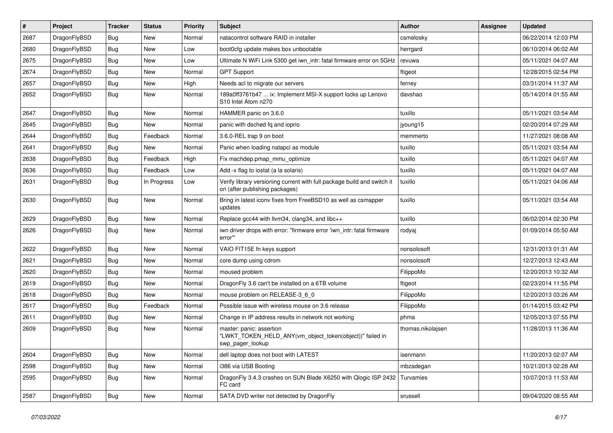| #    | Project      | <b>Tracker</b> | <b>Status</b> | <b>Priority</b> | Subject                                                                                                   | Author            | Assignee | <b>Updated</b>      |
|------|--------------|----------------|---------------|-----------------|-----------------------------------------------------------------------------------------------------------|-------------------|----------|---------------------|
| 2687 | DragonFlyBSD | Bug            | <b>New</b>    | Normal          | natacontrol software RAID in installer                                                                    | csmelosky         |          | 06/22/2014 12:03 PM |
| 2680 | DragonFlyBSD | Bug            | <b>New</b>    | Low             | boot0cfg update makes box unbootable                                                                      | herrgard          |          | 06/10/2014 06:02 AM |
| 2675 | DragonFlyBSD | <b>Bug</b>     | New           | Low             | Ultimate N WiFi Link 5300 get iwn_intr: fatal firmware error on 5GHz                                      | revuwa            |          | 05/11/2021 04:07 AM |
| 2674 | DragonFlyBSD | Bug            | <b>New</b>    | Normal          | <b>GPT Support</b>                                                                                        | ftigeot           |          | 12/28/2015 02:54 PM |
| 2657 | DragonFlyBSD | <b>Bug</b>     | New           | High            | Needs acl to migrate our servers                                                                          | ferney            |          | 03/31/2014 11:37 AM |
| 2652 | DragonFlyBSD | Bug            | New           | Normal          | 189a0ff3761b47  ix: Implement MSI-X support locks up Lenovo<br>S10 Intel Atom n270                        | davshao           |          | 05/14/2014 01:55 AM |
| 2647 | DragonFlyBSD | Bug            | <b>New</b>    | Normal          | HAMMER panic on 3.6.0                                                                                     | tuxillo           |          | 05/11/2021 03:54 AM |
| 2645 | DragonFlyBSD | Bug            | New           | Normal          | panic with dsched fq and ioprio                                                                           | jyoung15          |          | 02/20/2014 07:29 AM |
| 2644 | DragonFlyBSD | Bug            | Feedback      | Normal          | 3.6.0-REL trap 9 on boot                                                                                  | memmerto          |          | 11/27/2021 08:08 AM |
| 2641 | DragonFlyBSD | <b>Bug</b>     | New           | Normal          | Panic when loading natapci as module                                                                      | tuxillo           |          | 05/11/2021 03:54 AM |
| 2638 | DragonFlyBSD | Bug            | Feedback      | High            | Fix machdep.pmap_mmu_optimize                                                                             | tuxillo           |          | 05/11/2021 04:07 AM |
| 2636 | DragonFlyBSD | <b>Bug</b>     | Feedback      | Low             | Add -x flag to iostat (a la solaris)                                                                      | tuxillo           |          | 05/11/2021 04:07 AM |
| 2631 | DragonFlyBSD | Bug            | In Progress   | Low             | Verify library versioning current with full package build and switch it<br>on (after publishing packages) | tuxillo           |          | 05/11/2021 04:06 AM |
| 2630 | DragonFlyBSD | <b>Bug</b>     | New           | Normal          | Bring in latest iconv fixes from FreeBSD10 as well as csmapper<br>updates                                 | tuxillo           |          | 05/11/2021 03:54 AM |
| 2629 | DragonFlyBSD | Bug            | <b>New</b>    | Normal          | Replace gcc44 with llvm34, clang34, and libc++                                                            | tuxillo           |          | 06/02/2014 02:30 PM |
| 2626 | DragonFlyBSD | Bug            | New           | Normal          | iwn driver drops with error: "firmware error 'iwn intr: fatal firmware<br>error""                         | rodyaj            |          | 01/09/2014 05:50 AM |
| 2622 | DragonFlyBSD | Bug            | New           | Normal          | VAIO FIT15E fn keys support                                                                               | nonsolosoft       |          | 12/31/2013 01:31 AM |
| 2621 | DragonFlyBSD | Bug            | <b>New</b>    | Normal          | core dump using cdrom                                                                                     | nonsolosoft       |          | 12/27/2013 12:43 AM |
| 2620 | DragonFlyBSD | <b>Bug</b>     | <b>New</b>    | Normal          | moused problem                                                                                            | FilippoMo         |          | 12/20/2013 10:32 AM |
| 2619 | DragonFlyBSD | <b>Bug</b>     | New           | Normal          | DragonFly 3.6 can't be installed on a 6TB volume                                                          | ftigeot           |          | 02/23/2014 11:55 PM |
| 2618 | DragonFlyBSD | Bug            | New           | Normal          | mouse problem on RELEASE-3_6_0                                                                            | FilippoMo         |          | 12/20/2013 03:26 AM |
| 2617 | DragonFlyBSD | Bug            | Feedback      | Normal          | Possible issue with wireless mouse on 3.6 release                                                         | FilippoMo         |          | 01/14/2015 03:42 PM |
| 2611 | DragonFlyBSD | <b>Bug</b>     | New           | Normal          | Change in IP address results in network not working                                                       | phma              |          | 12/05/2013 07:55 PM |
| 2609 | DragonFlyBSD | <b>Bug</b>     | <b>New</b>    | Normal          | master: panic: assertion<br>"LWKT TOKEN HELD ANY(vm object token(object))" failed in<br>swp_pager_lookup  | thomas.nikolajsen |          | 11/28/2013 11:36 AM |
| 2604 | DragonFlyBSD | Bug            | New           | Normal          | dell laptop does not boot with LATEST                                                                     | isenmann          |          | 11/20/2013 02:07 AM |
| 2598 | DragonFlyBSD | <b>Bug</b>     | New           | Normal          | i386 via USB Booting                                                                                      | mbzadegan         |          | 10/21/2013 02:28 AM |
| 2595 | DragonFlyBSD | <b>Bug</b>     | New           | Normal          | DragonFly 3.4.3 crashes on SUN Blade X6250 with Qlogic ISP 2432<br>FC card                                | Turvamies         |          | 10/07/2013 11:53 AM |
| 2587 | DragonFlyBSD | Bug            | New           | Normal          | SATA DVD writer not detected by DragonFly                                                                 | srussell          |          | 09/04/2020 08:55 AM |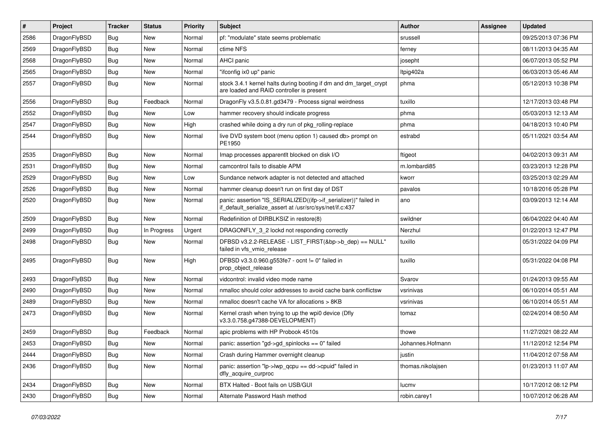| #    | Project      | <b>Tracker</b> | <b>Status</b> | <b>Priority</b> | Subject                                                                                                                      | <b>Author</b>     | <b>Assignee</b> | Updated             |
|------|--------------|----------------|---------------|-----------------|------------------------------------------------------------------------------------------------------------------------------|-------------------|-----------------|---------------------|
| 2586 | DragonFlyBSD | <b>Bug</b>     | <b>New</b>    | Normal          | pf: "modulate" state seems problematic                                                                                       | srussell          |                 | 09/25/2013 07:36 PM |
| 2569 | DragonFlyBSD | <b>Bug</b>     | <b>New</b>    | Normal          | ctime NFS                                                                                                                    | ferney            |                 | 08/11/2013 04:35 AM |
| 2568 | DragonFlyBSD | <b>Bug</b>     | New           | Normal          | AHCI panic                                                                                                                   | josepht           |                 | 06/07/2013 05:52 PM |
| 2565 | DragonFlyBSD | <b>Bug</b>     | New           | Normal          | "ifconfig ix0 up" panic                                                                                                      | Itpig402a         |                 | 06/03/2013 05:46 AM |
| 2557 | DragonFlyBSD | Bug            | <b>New</b>    | Normal          | stock 3.4.1 kernel halts during booting if dm and dm_target_crypt<br>are loaded and RAID controller is present               | phma              |                 | 05/12/2013 10:38 PM |
| 2556 | DragonFlyBSD | Bug            | Feedback      | Normal          | DragonFly v3.5.0.81.gd3479 - Process signal weirdness                                                                        | tuxillo           |                 | 12/17/2013 03:48 PM |
| 2552 | DragonFlyBSD | <b>Bug</b>     | New           | Low             | hammer recovery should indicate progress                                                                                     | phma              |                 | 05/03/2013 12:13 AM |
| 2547 | DragonFlyBSD | <b>Bug</b>     | New           | High            | crashed while doing a dry run of pkg_rolling-replace                                                                         | phma              |                 | 04/18/2013 10:40 PM |
| 2544 | DragonFlyBSD | <b>Bug</b>     | <b>New</b>    | Normal          | live DVD system boot (menu option 1) caused db> prompt on<br>PE1950                                                          | estrabd           |                 | 05/11/2021 03:54 AM |
| 2535 | DragonFlyBSD | Bug            | <b>New</b>    | Normal          | Imap processes apparentlt blocked on disk I/O                                                                                | ftigeot           |                 | 04/02/2013 09:31 AM |
| 2531 | DragonFlyBSD | <b>Bug</b>     | New           | Normal          | camcontrol fails to disable APM                                                                                              | m.lombardi85      |                 | 03/23/2013 12:28 PM |
| 2529 | DragonFlyBSD | <b>Bug</b>     | New           | Low             | Sundance network adapter is not detected and attached                                                                        | kworr             |                 | 03/25/2013 02:29 AM |
| 2526 | DragonFlyBSD | Bug            | New           | Normal          | hammer cleanup doesn't run on first day of DST                                                                               | pavalos           |                 | 10/18/2016 05:28 PM |
| 2520 | DragonFlyBSD | Bug            | <b>New</b>    | Normal          | panic: assertion "IS_SERIALIZED((ifp->if_serializer))" failed in<br>if_default_serialize_assert at /usr/src/sys/net/if.c:437 | ano               |                 | 03/09/2013 12:14 AM |
| 2509 | DragonFlyBSD | <b>Bug</b>     | <b>New</b>    | Normal          | Redefinition of DIRBLKSIZ in restore(8)                                                                                      | swildner          |                 | 06/04/2022 04:40 AM |
| 2499 | DragonFlyBSD | <b>Bug</b>     | In Progress   | Urgent          | DRAGONFLY_3_2 lockd not responding correctly                                                                                 | Nerzhul           |                 | 01/22/2013 12:47 PM |
| 2498 | DragonFlyBSD | <b>Bug</b>     | <b>New</b>    | Normal          | DFBSD v3.2.2-RELEASE - LIST_FIRST(&bp->b_dep) == NULL"<br>failed in vfs_vmio_release                                         | tuxillo           |                 | 05/31/2022 04:09 PM |
| 2495 | DragonFlyBSD | Bug            | New           | High            | DFBSD v3.3.0.960.g553fe7 - ocnt != 0" failed in<br>prop_object_release                                                       | tuxillo           |                 | 05/31/2022 04:08 PM |
| 2493 | DragonFlyBSD | Bug            | <b>New</b>    | Normal          | vidcontrol: invalid video mode name                                                                                          | Svarov            |                 | 01/24/2013 09:55 AM |
| 2490 | DragonFlyBSD | Bug            | <b>New</b>    | Normal          | nmalloc should color addresses to avoid cache bank conflictsw                                                                | vsrinivas         |                 | 06/10/2014 05:51 AM |
| 2489 | DragonFlyBSD | Bug            | New           | Normal          | nmalloc doesn't cache VA for allocations > 8KB                                                                               | vsrinivas         |                 | 06/10/2014 05:51 AM |
| 2473 | DragonFlyBSD | Bug            | New           | Normal          | Kernel crash when trying to up the wpi0 device (Dfly<br>v3.3.0.758.g47388-DEVELOPMENT)                                       | tomaz             |                 | 02/24/2014 08:50 AM |
| 2459 | DragonFlyBSD | Bug            | Feedback      | Normal          | apic problems with HP Probook 4510s                                                                                          | thowe             |                 | 11/27/2021 08:22 AM |
| 2453 | DragonFlyBSD | Bug            | <b>New</b>    | Normal          | panic: assertion "gd->gd spinlocks == $0$ " failed                                                                           | Johannes.Hofmann  |                 | 11/12/2012 12:54 PM |
| 2444 | DragonFlyBSD | <b>Bug</b>     | New           | Normal          | Crash during Hammer overnight cleanup                                                                                        | justin            |                 | 11/04/2012 07:58 AM |
| 2436 | DragonFlyBSD | <b>Bug</b>     | New           | Normal          | panic: assertion "lp->lwp_qcpu == dd->cpuid" failed in<br>dfly_acquire_curproc                                               | thomas.nikolajsen |                 | 01/23/2013 11:07 AM |
| 2434 | DragonFlyBSD | <b>Bug</b>     | <b>New</b>    | Normal          | BTX Halted - Boot fails on USB/GUI                                                                                           | lucmv             |                 | 10/17/2012 08:12 PM |
| 2430 | DragonFlyBSD | <b>Bug</b>     | New           | Normal          | Alternate Password Hash method                                                                                               | robin.carey1      |                 | 10/07/2012 06:28 AM |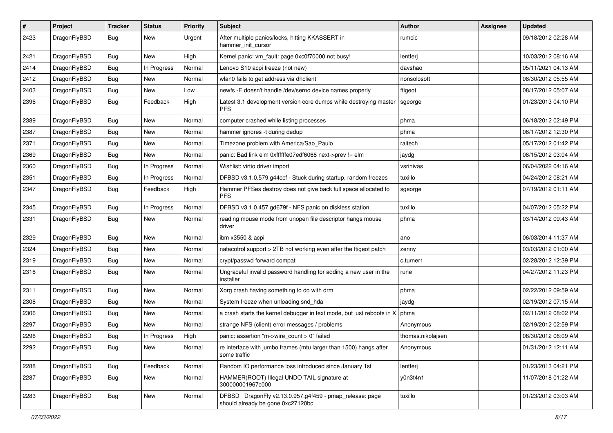| #    | Project      | <b>Tracker</b> | <b>Status</b> | <b>Priority</b> | Subject                                                                                      | <b>Author</b>     | Assignee | <b>Updated</b>      |
|------|--------------|----------------|---------------|-----------------|----------------------------------------------------------------------------------------------|-------------------|----------|---------------------|
| 2423 | DragonFlyBSD | Bug            | New           | Urgent          | After multiple panics/locks, hitting KKASSERT in<br>hammer init cursor                       | rumcic            |          | 09/18/2012 02:28 AM |
| 2421 | DragonFlyBSD | Bug            | New           | High            | Kernel panic: vm_fault: page 0xc0f70000 not busy!                                            | lentferj          |          | 10/03/2012 08:16 AM |
| 2414 | DragonFlyBSD | Bug            | In Progress   | Normal          | Lenovo S10 acpi freeze (not new)                                                             | davshao           |          | 05/11/2021 04:13 AM |
| 2412 | DragonFlyBSD | Bug            | New           | Normal          | wlan0 fails to get address via dhclient                                                      | nonsolosoft       |          | 08/30/2012 05:55 AM |
| 2403 | DragonFlyBSD | Bug            | New           | Low             | newfs -E doesn't handle /dev/serno device names properly                                     | ftigeot           |          | 08/17/2012 05:07 AM |
| 2396 | DragonFlyBSD | <b>Bug</b>     | Feedback      | High            | Latest 3.1 development version core dumps while destroying master<br><b>PFS</b>              | sgeorge           |          | 01/23/2013 04:10 PM |
| 2389 | DragonFlyBSD | Bug            | New           | Normal          | computer crashed while listing processes                                                     | phma              |          | 06/18/2012 02:49 PM |
| 2387 | DragonFlyBSD | Bug            | <b>New</b>    | Normal          | hammer ignores -t during dedup                                                               | phma              |          | 06/17/2012 12:30 PM |
| 2371 | DragonFlyBSD | Bug            | New           | Normal          | Timezone problem with America/Sao_Paulo                                                      | raitech           |          | 05/17/2012 01:42 PM |
| 2369 | DragonFlyBSD | Bug            | New           | Normal          | panic: Bad link elm 0xffffffe07edf6068 next->prev != elm                                     | jaydg             |          | 08/15/2012 03:04 AM |
| 2360 | DragonFlyBSD | Bug            | In Progress   | Normal          | Wishlist: virtio driver import                                                               | vsrinivas         |          | 06/04/2022 04:16 AM |
| 2351 | DragonFlyBSD | Bug            | In Progress   | Normal          | DFBSD v3.1.0.579.g44ccf - Stuck during startup, random freezes                               | tuxillo           |          | 04/24/2012 08:21 AM |
| 2347 | DragonFlyBSD | <b>Bug</b>     | Feedback      | High            | Hammer PFSes destroy does not give back full space allocated to<br><b>PFS</b>                | sgeorge           |          | 07/19/2012 01:11 AM |
| 2345 | DragonFlyBSD | <b>Bug</b>     | In Progress   | Normal          | DFBSD v3.1.0.457.gd679f - NFS panic on diskless station                                      | tuxillo           |          | 04/07/2012 05:22 PM |
| 2331 | DragonFlyBSD | Bug            | New           | Normal          | reading mouse mode from unopen file descriptor hangs mouse<br>driver                         | phma              |          | 03/14/2012 09:43 AM |
| 2329 | DragonFlyBSD | Bug            | New           | Normal          | ibm x3550 & acpi                                                                             | ano               |          | 06/03/2014 11:37 AM |
| 2324 | DragonFlyBSD | Bug            | New           | Normal          | natacotrol support > 2TB not working even after the ftigeot patch                            | zenny             |          | 03/03/2012 01:00 AM |
| 2319 | DragonFlyBSD | <b>Bug</b>     | <b>New</b>    | Normal          | crypt/passwd forward compat                                                                  | c.turner1         |          | 02/28/2012 12:39 PM |
| 2316 | DragonFlyBSD | <b>Bug</b>     | New           | Normal          | Ungraceful invalid password handling for adding a new user in the<br>installer               | rune              |          | 04/27/2012 11:23 PM |
| 2311 | DragonFlyBSD | Bug            | New           | Normal          | Xorg crash having something to do with drm                                                   | phma              |          | 02/22/2012 09:59 AM |
| 2308 | DragonFlyBSD | Bug            | New           | Normal          | System freeze when unloading snd_hda                                                         | jaydg             |          | 02/19/2012 07:15 AM |
| 2306 | DragonFlyBSD | Bug            | New           | Normal          | a crash starts the kernel debugger in text mode, but just reboots in X                       | phma              |          | 02/11/2012 08:02 PM |
| 2297 | DragonFlyBSD | <b>Bug</b>     | New           | Normal          | strange NFS (client) error messages / problems                                               | Anonymous         |          | 02/19/2012 02:59 PM |
| 2296 | DragonFlyBSD | <b>Bug</b>     | In Progress   | High            | panic: assertion "m->wire_count > 0" failed                                                  | thomas.nikolajsen |          | 08/30/2012 06:09 AM |
| 2292 | DragonFlyBSD | <b>Bug</b>     | New           | Normal          | re interface with jumbo frames (mtu larger than 1500) hangs after<br>some traffic            | Anonymous         |          | 01/31/2012 12:11 AM |
| 2288 | DragonFlyBSD | Bug            | Feedback      | Normal          | Random IO performance loss introduced since January 1st                                      | lentferj          |          | 01/23/2013 04:21 PM |
| 2287 | DragonFlyBSD | <b>Bug</b>     | New           | Normal          | HAMMER(ROOT) Illegal UNDO TAIL signature at<br>300000001967c000                              | y0n3t4n1          |          | 11/07/2018 01:22 AM |
| 2283 | DragonFlyBSD | <b>Bug</b>     | New           | Normal          | DFBSD DragonFly v2.13.0.957.g4f459 - pmap_release: page<br>should already be gone 0xc27120bc | tuxillo           |          | 01/23/2012 03:03 AM |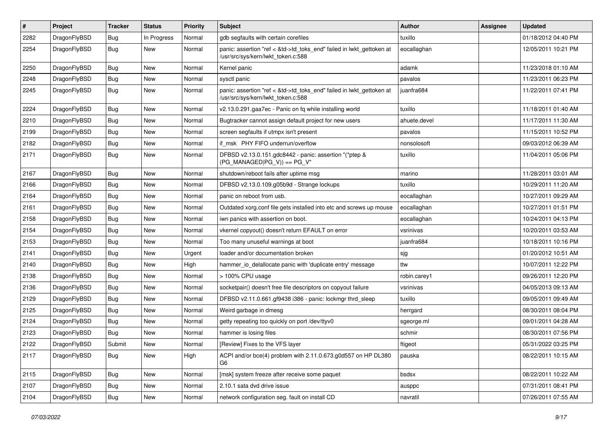| #    | Project      | <b>Tracker</b> | <b>Status</b> | <b>Priority</b> | Subject                                                                                                    | <b>Author</b> | Assignee | <b>Updated</b>      |
|------|--------------|----------------|---------------|-----------------|------------------------------------------------------------------------------------------------------------|---------------|----------|---------------------|
| 2282 | DragonFlyBSD | <b>Bug</b>     | In Progress   | Normal          | gdb segfaults with certain corefiles                                                                       | tuxillo       |          | 01/18/2012 04:40 PM |
| 2254 | DragonFlyBSD | Bug            | <b>New</b>    | Normal          | panic: assertion "ref < &td->td_toks_end" failed in lwkt_gettoken at<br>/usr/src/sys/kern/lwkt_token.c:588 | eocallaghan   |          | 12/05/2011 10:21 PM |
| 2250 | DragonFlyBSD | Bug            | New           | Normal          | Kernel panic                                                                                               | adamk         |          | 11/23/2018 01:10 AM |
| 2248 | DragonFlyBSD | <b>Bug</b>     | New           | Normal          | sysctl panic                                                                                               | pavalos       |          | 11/23/2011 06:23 PM |
| 2245 | DragonFlyBSD | <b>Bug</b>     | <b>New</b>    | Normal          | panic: assertion "ref < &td->td_toks_end" failed in lwkt_gettoken at<br>/usr/src/sys/kern/lwkt_token.c:588 | juanfra684    |          | 11/22/2011 07:41 PM |
| 2224 | DragonFlyBSD | Bug            | New           | Normal          | v2.13.0.291.gaa7ec - Panic on fq while installing world                                                    | tuxillo       |          | 11/18/2011 01:40 AM |
| 2210 | DragonFlyBSD | <b>Bug</b>     | New           | Normal          | Bugtracker cannot assign default project for new users                                                     | ahuete.devel  |          | 11/17/2011 11:30 AM |
| 2199 | DragonFlyBSD | Bug            | New           | Normal          | screen segfaults if utmpx isn't present                                                                    | pavalos       |          | 11/15/2011 10:52 PM |
| 2182 | DragonFlyBSD | Bug            | New           | Normal          | if msk PHY FIFO underrun/overflow                                                                          | nonsolosoft   |          | 09/03/2012 06:39 AM |
| 2171 | DragonFlyBSD | <b>Bug</b>     | <b>New</b>    | Normal          | DFBSD v2.13.0.151.gdc8442 - panic: assertion "(*ptep &<br>$(PG_MANAGED PG_V)$ == PG_V"                     | tuxillo       |          | 11/04/2011 05:06 PM |
| 2167 | DragonFlyBSD | Bug            | <b>New</b>    | Normal          | shutdown/reboot fails after uptime msg                                                                     | marino        |          | 11/28/2011 03:01 AM |
| 2166 | DragonFlyBSD | <b>Bug</b>     | New           | Normal          | DFBSD v2.13.0.109.g05b9d - Strange lockups                                                                 | tuxillo       |          | 10/29/2011 11:20 AM |
| 2164 | DragonFlyBSD | Bug            | <b>New</b>    | Normal          | panic on reboot from usb.                                                                                  | eocallaghan   |          | 10/27/2011 09:29 AM |
| 2161 | DragonFlyBSD | <b>Bug</b>     | New           | Normal          | Outdated xorg.conf file gets installed into etc and screws up mouse                                        | eocallaghan   |          | 10/27/2011 01:51 PM |
| 2158 | DragonFlyBSD | Bug            | New           | Normal          | iwn panics with assertion on boot.                                                                         | eocallaghan   |          | 10/24/2011 04:13 PM |
| 2154 | DragonFlyBSD | <b>Bug</b>     | New           | Normal          | vkernel copyout() doesn't return EFAULT on error                                                           | vsrinivas     |          | 10/20/2011 03:53 AM |
| 2153 | DragonFlyBSD | <b>Bug</b>     | <b>New</b>    | Normal          | Too many unuseful warnings at boot                                                                         | juanfra684    |          | 10/18/2011 10:16 PM |
| 2141 | DragonFlyBSD | Bug            | <b>New</b>    | Urgent          | loader and/or documentation broken                                                                         | sjg           |          | 01/20/2012 10:51 AM |
| 2140 | DragonFlyBSD | <b>Bug</b>     | New           | High            | hammer io delallocate panic with 'duplicate entry' message                                                 | ttw           |          | 10/07/2011 12:22 PM |
| 2138 | DragonFlyBSD | Bug            | New           | Normal          | > 100% CPU usage                                                                                           | robin.carey1  |          | 09/26/2011 12:20 PM |
| 2136 | DragonFlyBSD | <b>Bug</b>     | New           | Normal          | socketpair() doesn't free file descriptors on copyout failure                                              | vsrinivas     |          | 04/05/2013 09:13 AM |
| 2129 | DragonFlyBSD | <b>Bug</b>     | New           | Normal          | DFBSD v2.11.0.661.gf9438 i386 - panic: lockmgr thrd sleep                                                  | tuxillo       |          | 09/05/2011 09:49 AM |
| 2125 | DragonFlyBSD | <b>Bug</b>     | New           | Normal          | Weird garbage in dmesg                                                                                     | herrgard      |          | 08/30/2011 08:04 PM |
| 2124 | DragonFlyBSD | <b>Bug</b>     | <b>New</b>    | Normal          | getty repeating too quickly on port /dev/ttyv0                                                             | sgeorge.ml    |          | 09/01/2011 04:28 AM |
| 2123 | DragonFlyBSD | <b>Bug</b>     | New           | Normal          | hammer is losing files                                                                                     | schmir        |          | 08/30/2011 07:56 PM |
| 2122 | DragonFlyBSD | Submit         | New           | Normal          | [Review] Fixes to the VFS layer                                                                            | ftigeot       |          | 05/31/2022 03:25 PM |
| 2117 | DragonFlyBSD | Bug            | New           | High            | ACPI and/or bce(4) problem with 2.11.0.673.g0d557 on HP DL380<br>G6                                        | pauska        |          | 08/22/2011 10:15 AM |
| 2115 | DragonFlyBSD | <b>Bug</b>     | New           | Normal          | [msk] system freeze after receive some paquet                                                              | bsdsx         |          | 08/22/2011 10:22 AM |
| 2107 | DragonFlyBSD | <b>Bug</b>     | New           | Normal          | 2.10.1 sata dvd drive issue                                                                                | ausppc        |          | 07/31/2011 08:41 PM |
| 2104 | DragonFlyBSD | <b>Bug</b>     | New           | Normal          | network configuration seg. fault on install CD                                                             | navratil      |          | 07/26/2011 07:55 AM |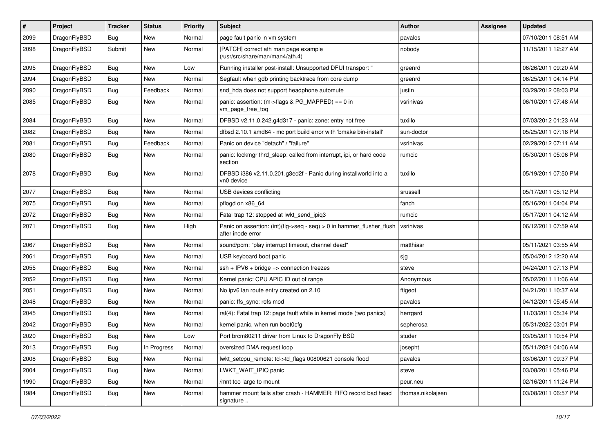| $\sharp$ | Project      | <b>Tracker</b> | <b>Status</b> | <b>Priority</b> | Subject                                                                                    | <b>Author</b>     | Assignee | <b>Updated</b>      |
|----------|--------------|----------------|---------------|-----------------|--------------------------------------------------------------------------------------------|-------------------|----------|---------------------|
| 2099     | DragonFlyBSD | <b>Bug</b>     | <b>New</b>    | Normal          | page fault panic in vm system                                                              | pavalos           |          | 07/10/2011 08:51 AM |
| 2098     | DragonFlyBSD | Submit         | <b>New</b>    | Normal          | [PATCH] correct ath man page example<br>(/usr/src/share/man/man4/ath.4)                    | nobody            |          | 11/15/2011 12:27 AM |
| 2095     | DragonFlyBSD | Bug            | New           | Low             | Running installer post-install: Unsupported DFUI transport "                               | greenrd           |          | 06/26/2011 09:20 AM |
| 2094     | DragonFlyBSD | <b>Bug</b>     | New           | Normal          | Segfault when gdb printing backtrace from core dump                                        | greenrd           |          | 06/25/2011 04:14 PM |
| 2090     | DragonFlyBSD | <b>Bug</b>     | Feedback      | Normal          | snd_hda does not support headphone automute                                                | justin            |          | 03/29/2012 08:03 PM |
| 2085     | DragonFlyBSD | <b>Bug</b>     | New           | Normal          | panic: assertion: (m->flags & PG_MAPPED) == 0 in<br>vm_page_free_toq                       | vsrinivas         |          | 06/10/2011 07:48 AM |
| 2084     | DragonFlyBSD | Bug            | New           | Normal          | DFBSD v2.11.0.242.g4d317 - panic: zone: entry not free                                     | tuxillo           |          | 07/03/2012 01:23 AM |
| 2082     | DragonFlyBSD | Bug            | New           | Normal          | dfbsd 2.10.1 amd64 - mc port build error with 'bmake bin-install'                          | sun-doctor        |          | 05/25/2011 07:18 PM |
| 2081     | DragonFlyBSD | <b>Bug</b>     | Feedback      | Normal          | Panic on device "detach" / "failure"                                                       | vsrinivas         |          | 02/29/2012 07:11 AM |
| 2080     | DragonFlyBSD | Bug            | New           | Normal          | panic: lockmgr thrd_sleep: called from interrupt, ipi, or hard code<br>section             | rumcic            |          | 05/30/2011 05:06 PM |
| 2078     | DragonFlyBSD | Bug            | New           | Normal          | DFBSD i386 v2.11.0.201.g3ed2f - Panic during installworld into a<br>vn0 device             | tuxillo           |          | 05/19/2011 07:50 PM |
| 2077     | DragonFlyBSD | <b>Bug</b>     | New           | Normal          | USB devices conflicting                                                                    | srussell          |          | 05/17/2011 05:12 PM |
| 2075     | DragonFlyBSD | <b>Bug</b>     | New           | Normal          | pflogd on x86 64                                                                           | fanch             |          | 05/16/2011 04:04 PM |
| 2072     | DragonFlyBSD | Bug            | <b>New</b>    | Normal          | Fatal trap 12: stopped at lwkt_send_ipiq3                                                  | rumcic            |          | 05/17/2011 04:12 AM |
| 2071     | DragonFlyBSD | <b>Bug</b>     | New           | High            | Panic on assertion: (int)(flg->seq - seq) > 0 in hammer_flusher_flush<br>after inode error | vsrinivas         |          | 06/12/2011 07:59 AM |
| 2067     | DragonFlyBSD | Bug            | New           | Normal          | sound/pcm: "play interrupt timeout, channel dead"                                          | matthiasr         |          | 05/11/2021 03:55 AM |
| 2061     | DragonFlyBSD | <b>Bug</b>     | New           | Normal          | USB keyboard boot panic                                                                    | sjg               |          | 05/04/2012 12:20 AM |
| 2055     | DragonFlyBSD | <b>Bug</b>     | <b>New</b>    | Normal          | $ssh + IPV6 + bridge \Rightarrow connection freezes$                                       | steve             |          | 04/24/2011 07:13 PM |
| 2052     | DragonFlyBSD | <b>Bug</b>     | <b>New</b>    | Normal          | Kernel panic: CPU APIC ID out of range                                                     | Anonymous         |          | 05/02/2011 11:06 AM |
| 2051     | DragonFlyBSD | <b>Bug</b>     | New           | Normal          | No ipv6 lan route entry created on 2.10                                                    | ftigeot           |          | 04/21/2011 10:37 AM |
| 2048     | DragonFlyBSD | Bug            | New           | Normal          | panic: ffs_sync: rofs mod                                                                  | pavalos           |          | 04/12/2011 05:45 AM |
| 2045     | DragonFlyBSD | <b>Bug</b>     | New           | Normal          | ral(4): Fatal trap 12: page fault while in kernel mode (two panics)                        | herrgard          |          | 11/03/2011 05:34 PM |
| 2042     | DragonFlyBSD | <b>Bug</b>     | <b>New</b>    | Normal          | kernel panic, when run boot0cfg                                                            | sepherosa         |          | 05/31/2022 03:01 PM |
| 2020     | DragonFlyBSD | <b>Bug</b>     | <b>New</b>    | Low             | Port brcm80211 driver from Linux to DragonFly BSD                                          | studer            |          | 03/05/2011 10:54 PM |
| 2013     | DragonFlyBSD | <b>Bug</b>     | In Progress   | Normal          | oversized DMA request loop                                                                 | josepht           |          | 05/11/2021 04:06 AM |
| 2008     | DragonFlyBSD | <b>Bug</b>     | <b>New</b>    | Normal          | lwkt_setcpu_remote: td->td_flags 00800621 console flood                                    | pavalos           |          | 03/06/2011 09:37 PM |
| 2004     | DragonFlyBSD | <b>Bug</b>     | <b>New</b>    | Normal          | LWKT_WAIT_IPIQ panic                                                                       | steve             |          | 03/08/2011 05:46 PM |
| 1990     | DragonFlyBSD | Bug            | New           | Normal          | /mnt too large to mount                                                                    | peur.neu          |          | 02/16/2011 11:24 PM |
| 1984     | DragonFlyBSD | <b>Bug</b>     | New           | Normal          | hammer mount fails after crash - HAMMER: FIFO record bad head<br>signature                 | thomas.nikolajsen |          | 03/08/2011 06:57 PM |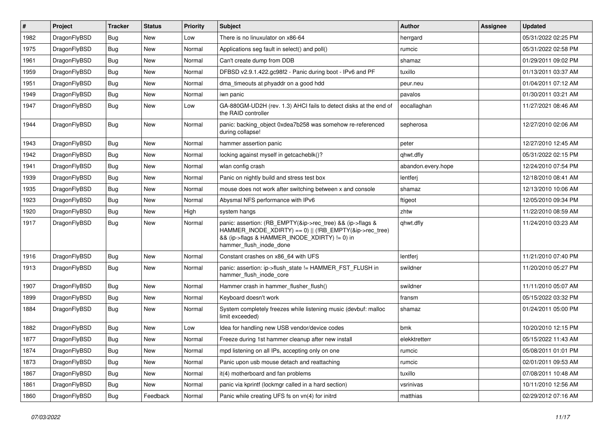| $\vert$ # | Project      | <b>Tracker</b> | <b>Status</b> | <b>Priority</b> | Subject                                                                                                                                                                                           | <b>Author</b>      | Assignee | <b>Updated</b>      |
|-----------|--------------|----------------|---------------|-----------------|---------------------------------------------------------------------------------------------------------------------------------------------------------------------------------------------------|--------------------|----------|---------------------|
| 1982      | DragonFlyBSD | <b>Bug</b>     | New           | Low             | There is no linuxulator on x86-64                                                                                                                                                                 | herrgard           |          | 05/31/2022 02:25 PM |
| 1975      | DragonFlyBSD | Bug            | New           | Normal          | Applications seg fault in select() and poll()                                                                                                                                                     | rumcic             |          | 05/31/2022 02:58 PM |
| 1961      | DragonFlyBSD | <b>Bug</b>     | New           | Normal          | Can't create dump from DDB                                                                                                                                                                        | shamaz             |          | 01/29/2011 09:02 PM |
| 1959      | DragonFlyBSD | <b>Bug</b>     | New           | Normal          | DFBSD v2.9.1.422.gc98f2 - Panic during boot - IPv6 and PF                                                                                                                                         | tuxillo            |          | 01/13/2011 03:37 AM |
| 1951      | DragonFlyBSD | <b>Bug</b>     | <b>New</b>    | Normal          | dma timeouts at phyaddr on a good hdd                                                                                                                                                             | peur.neu           |          | 01/04/2011 07:12 AM |
| 1949      | DragonFlyBSD | <b>Bug</b>     | New           | Normal          | iwn panic                                                                                                                                                                                         | pavalos            |          | 01/30/2011 03:21 AM |
| 1947      | DragonFlyBSD | Bug            | New           | Low             | GA-880GM-UD2H (rev. 1.3) AHCI fails to detect disks at the end of<br>the RAID controller                                                                                                          | eocallaghan        |          | 11/27/2021 08:46 AM |
| 1944      | DragonFlyBSD | Bug            | New           | Normal          | panic: backing object 0xdea7b258 was somehow re-referenced<br>during collapse!                                                                                                                    | sepherosa          |          | 12/27/2010 02:06 AM |
| 1943      | DragonFlyBSD | Bug            | New           | Normal          | hammer assertion panic                                                                                                                                                                            | peter              |          | 12/27/2010 12:45 AM |
| 1942      | DragonFlyBSD | <b>Bug</b>     | New           | Normal          | locking against myself in getcacheblk()?                                                                                                                                                          | qhwt.dfly          |          | 05/31/2022 02:15 PM |
| 1941      | DragonFlyBSD | <b>Bug</b>     | New           | Normal          | wlan config crash                                                                                                                                                                                 | abandon.every.hope |          | 12/24/2010 07:54 PM |
| 1939      | DragonFlyBSD | <b>Bug</b>     | New           | Normal          | Panic on nightly build and stress test box                                                                                                                                                        | lentferj           |          | 12/18/2010 08:41 AM |
| 1935      | DragonFlyBSD | <b>Bug</b>     | <b>New</b>    | Normal          | mouse does not work after switching between x and console                                                                                                                                         | shamaz             |          | 12/13/2010 10:06 AM |
| 1923      | DragonFlyBSD | <b>Bug</b>     | New           | Normal          | Abysmal NFS performance with IPv6                                                                                                                                                                 | ftigeot            |          | 12/05/2010 09:34 PM |
| 1920      | DragonFlyBSD | <b>Bug</b>     | New           | High            | system hangs                                                                                                                                                                                      | zhtw               |          | 11/22/2010 08:59 AM |
| 1917      | DragonFlyBSD | <b>Bug</b>     | New           | Normal          | panic: assertion: (RB_EMPTY(&ip->rec_tree) && (ip->flags &<br>HAMMER_INODE_XDIRTY) == 0)    (!RB_EMPTY(&ip->rec_tree)<br>&& (ip->flags & HAMMER_INODE_XDIRTY) != 0) in<br>hammer_flush_inode_done | qhwt.dfly          |          | 11/24/2010 03:23 AM |
| 1916      | DragonFlyBSD | Bug            | New           | Normal          | Constant crashes on x86_64 with UFS                                                                                                                                                               | lentferj           |          | 11/21/2010 07:40 PM |
| 1913      | DragonFlyBSD | Bug            | New           | Normal          | panic: assertion: ip->flush_state != HAMMER_FST_FLUSH in<br>hammer_flush_inode_core                                                                                                               | swildner           |          | 11/20/2010 05:27 PM |
| 1907      | DragonFlyBSD | <b>Bug</b>     | New           | Normal          | Hammer crash in hammer_flusher_flush()                                                                                                                                                            | swildner           |          | 11/11/2010 05:07 AM |
| 1899      | DragonFlyBSD | Bug            | New           | Normal          | Keyboard doesn't work                                                                                                                                                                             | fransm             |          | 05/15/2022 03:32 PM |
| 1884      | DragonFlyBSD | Bug            | New           | Normal          | System completely freezes while listening music (devbuf: malloc<br>limit exceeded)                                                                                                                | shamaz             |          | 01/24/2011 05:00 PM |
| 1882      | DragonFlyBSD | <b>Bug</b>     | <b>New</b>    | Low             | Idea for handling new USB vendor/device codes                                                                                                                                                     | bmk                |          | 10/20/2010 12:15 PM |
| 1877      | DragonFlyBSD | Bug            | New           | Normal          | Freeze during 1st hammer cleanup after new install                                                                                                                                                | elekktretterr      |          | 05/15/2022 11:43 AM |
| 1874      | DragonFlyBSD | Bug            | New           | Normal          | mpd listening on all IPs, accepting only on one                                                                                                                                                   | rumcic             |          | 05/08/2011 01:01 PM |
| 1873      | DragonFlyBSD | Bug            | New           | Normal          | Panic upon usb mouse detach and reattaching                                                                                                                                                       | rumcic             |          | 02/01/2011 09:53 AM |
| 1867      | DragonFlyBSD | Bug            | New           | Normal          | it(4) motherboard and fan problems                                                                                                                                                                | tuxillo            |          | 07/08/2011 10:48 AM |
| 1861      | DragonFlyBSD | Bug            | New           | Normal          | panic via kprintf (lockmgr called in a hard section)                                                                                                                                              | vsrinivas          |          | 10/11/2010 12:56 AM |
| 1860      | DragonFlyBSD | <b>Bug</b>     | Feedback      | Normal          | Panic while creating UFS fs on vn(4) for initrd                                                                                                                                                   | matthias           |          | 02/29/2012 07:16 AM |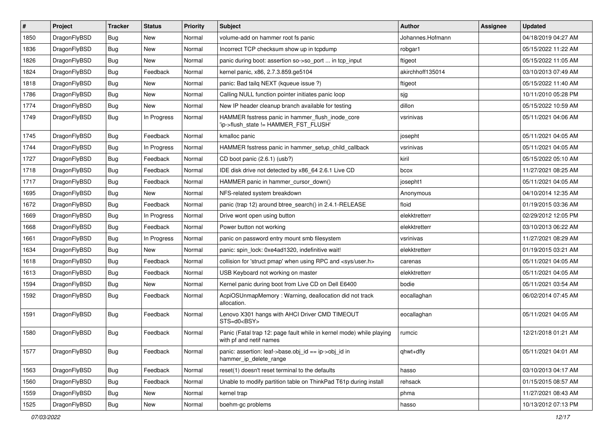| $\vert$ # | Project      | <b>Tracker</b> | <b>Status</b> | <b>Priority</b> | Subject                                                                                         | <b>Author</b>    | <b>Assignee</b> | <b>Updated</b>      |
|-----------|--------------|----------------|---------------|-----------------|-------------------------------------------------------------------------------------------------|------------------|-----------------|---------------------|
| 1850      | DragonFlyBSD | <b>Bug</b>     | <b>New</b>    | Normal          | volume-add on hammer root fs panic                                                              | Johannes.Hofmann |                 | 04/18/2019 04:27 AM |
| 1836      | DragonFlyBSD | Bug            | <b>New</b>    | Normal          | Incorrect TCP checksum show up in tcpdump                                                       | robgar1          |                 | 05/15/2022 11:22 AM |
| 1826      | DragonFlyBSD | <b>Bug</b>     | New           | Normal          | panic during boot: assertion so->so_port  in tcp_input                                          | ftigeot          |                 | 05/15/2022 11:05 AM |
| 1824      | DragonFlyBSD | Bug            | Feedback      | Normal          | kernel panic, x86, 2.7.3.859.ge5104                                                             | akirchhoff135014 |                 | 03/10/2013 07:49 AM |
| 1818      | DragonFlyBSD | Bug            | <b>New</b>    | Normal          | panic: Bad tailq NEXT (kqueue issue ?)                                                          | ftigeot          |                 | 05/15/2022 11:40 AM |
| 1786      | DragonFlyBSD | <b>Bug</b>     | New           | Normal          | Calling NULL function pointer initiates panic loop                                              | sjg              |                 | 10/11/2010 05:28 PM |
| 1774      | DragonFlyBSD | Bug            | <b>New</b>    | Normal          | New IP header cleanup branch available for testing                                              | dillon           |                 | 05/15/2022 10:59 AM |
| 1749      | DragonFlyBSD | Bug            | In Progress   | Normal          | HAMMER fsstress panic in hammer_flush_inode_core<br>'ip->flush_state != HAMMER_FST_FLUSH'       | vsrinivas        |                 | 05/11/2021 04:06 AM |
| 1745      | DragonFlyBSD | <b>Bug</b>     | Feedback      | Normal          | kmalloc panic                                                                                   | josepht          |                 | 05/11/2021 04:05 AM |
| 1744      | DragonFlyBSD | <b>Bug</b>     | In Progress   | Normal          | HAMMER fsstress panic in hammer_setup_child_callback                                            | vsrinivas        |                 | 05/11/2021 04:05 AM |
| 1727      | DragonFlyBSD | <b>Bug</b>     | Feedback      | Normal          | CD boot panic (2.6.1) (usb?)                                                                    | kiril            |                 | 05/15/2022 05:10 AM |
| 1718      | DragonFlyBSD | <b>Bug</b>     | Feedback      | Normal          | IDE disk drive not detected by x86 64 2.6.1 Live CD                                             | bcox             |                 | 11/27/2021 08:25 AM |
| 1717      | DragonFlyBSD | <b>Bug</b>     | Feedback      | Normal          | HAMMER panic in hammer cursor down()                                                            | josepht1         |                 | 05/11/2021 04:05 AM |
| 1695      | DragonFlyBSD | Bug            | <b>New</b>    | Normal          | NFS-related system breakdown                                                                    | Anonymous        |                 | 04/10/2014 12:35 AM |
| 1672      | DragonFlyBSD | <b>Bug</b>     | Feedback      | Normal          | panic (trap 12) around btree_search() in 2.4.1-RELEASE                                          | floid            |                 | 01/19/2015 03:36 AM |
| 1669      | DragonFlyBSD | <b>Bug</b>     | In Progress   | Normal          | Drive wont open using button                                                                    | elekktretterr    |                 | 02/29/2012 12:05 PM |
| 1668      | DragonFlyBSD | <b>Bug</b>     | Feedback      | Normal          | Power button not working                                                                        | elekktretterr    |                 | 03/10/2013 06:22 AM |
| 1661      | DragonFlyBSD | <b>Bug</b>     | In Progress   | Normal          | panic on password entry mount smb filesystem                                                    | vsrinivas        |                 | 11/27/2021 08:29 AM |
| 1634      | DragonFlyBSD | Bug            | <b>New</b>    | Normal          | panic: spin_lock: 0xe4ad1320, indefinitive wait!                                                | elekktretterr    |                 | 01/19/2015 03:21 AM |
| 1618      | DragonFlyBSD | <b>Bug</b>     | Feedback      | Normal          | collision for 'struct pmap' when using RPC and <sys user.h=""></sys>                            | carenas          |                 | 05/11/2021 04:05 AM |
| 1613      | DragonFlyBSD | <b>Bug</b>     | Feedback      | Normal          | USB Keyboard not working on master                                                              | elekktretterr    |                 | 05/11/2021 04:05 AM |
| 1594      | DragonFlyBSD | <b>Bug</b>     | <b>New</b>    | Normal          | Kernel panic during boot from Live CD on Dell E6400                                             | bodie            |                 | 05/11/2021 03:54 AM |
| 1592      | DragonFlyBSD | <b>Bug</b>     | Feedback      | Normal          | AcpiOSUnmapMemory: Warning, deallocation did not track<br>allocation.                           | eocallaghan      |                 | 06/02/2014 07:45 AM |
| 1591      | DragonFlyBSD | <b>Bug</b>     | Feedback      | Normal          | Lenovo X301 hangs with AHCI Driver CMD TIMEOUT<br>STS=d0 <bsy></bsy>                            | eocallaghan      |                 | 05/11/2021 04:05 AM |
| 1580      | DragonFlyBSD | Bug            | Feedback      | Normal          | Panic (Fatal trap 12: page fault while in kernel mode) while playing<br>with pf and netif names | rumcic           |                 | 12/21/2018 01:21 AM |
| 1577      | DragonFlyBSD | <b>Bug</b>     | Feedback      | Normal          | panic: assertion: leaf->base.obj_id == ip->obj_id in<br>hammer_ip_delete_range                  | qhwt+dfly        |                 | 05/11/2021 04:01 AM |
| 1563      | DragonFlyBSD | Bug            | Feedback      | Normal          | reset(1) doesn't reset terminal to the defaults                                                 | hasso            |                 | 03/10/2013 04:17 AM |
| 1560      | DragonFlyBSD | <b>Bug</b>     | Feedback      | Normal          | Unable to modify partition table on ThinkPad T61p during install                                | rehsack          |                 | 01/15/2015 08:57 AM |
| 1559      | DragonFlyBSD | Bug            | New           | Normal          | kernel trap                                                                                     | phma             |                 | 11/27/2021 08:43 AM |
| 1525      | DragonFlyBSD | <b>Bug</b>     | New           | Normal          | boehm-gc problems                                                                               | hasso            |                 | 10/13/2012 07:13 PM |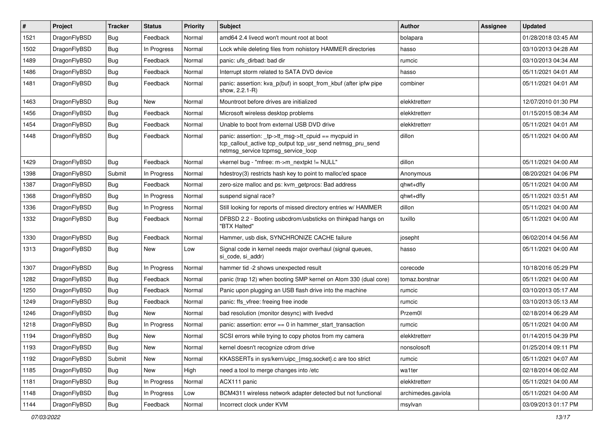| $\vert$ # | Project      | <b>Tracker</b> | <b>Status</b> | <b>Priority</b> | <b>Subject</b>                                                                                                                                            | <b>Author</b>      | Assignee | <b>Updated</b>      |
|-----------|--------------|----------------|---------------|-----------------|-----------------------------------------------------------------------------------------------------------------------------------------------------------|--------------------|----------|---------------------|
| 1521      | DragonFlyBSD | <b>Bug</b>     | Feedback      | Normal          | amd64 2.4 livecd won't mount root at boot                                                                                                                 | bolapara           |          | 01/28/2018 03:45 AM |
| 1502      | DragonFlyBSD | Bug            | In Progress   | Normal          | Lock while deleting files from nohistory HAMMER directories                                                                                               | hasso              |          | 03/10/2013 04:28 AM |
| 1489      | DragonFlyBSD | <b>Bug</b>     | Feedback      | Normal          | panic: ufs dirbad: bad dir                                                                                                                                | rumcic             |          | 03/10/2013 04:34 AM |
| 1486      | DragonFlyBSD | Bug            | Feedback      | Normal          | Interrupt storm related to SATA DVD device                                                                                                                | hasso              |          | 05/11/2021 04:01 AM |
| 1481      | DragonFlyBSD | Bug            | Feedback      | Normal          | panic: assertion: kva_p(buf) in soopt_from_kbuf (after ipfw pipe<br>show, 2.2.1-R)                                                                        | combiner           |          | 05/11/2021 04:01 AM |
| 1463      | DragonFlyBSD | Bug            | <b>New</b>    | Normal          | Mountroot before drives are initialized                                                                                                                   | elekktretterr      |          | 12/07/2010 01:30 PM |
| 1456      | DragonFlyBSD | <b>Bug</b>     | Feedback      | Normal          | Microsoft wireless desktop problems                                                                                                                       | elekktretterr      |          | 01/15/2015 08:34 AM |
| 1454      | DragonFlyBSD | Bug            | Feedback      | Normal          | Unable to boot from external USB DVD drive                                                                                                                | elekktretterr      |          | 05/11/2021 04:01 AM |
| 1448      | DragonFlyBSD | Bug            | Feedback      | Normal          | panic: assertion: _tp->tt_msg->tt_cpuid == mycpuid in<br>tcp_callout_active tcp_output tcp_usr_send netmsg_pru_send<br>netmsg_service tcpmsg_service_loop | dillon             |          | 05/11/2021 04:00 AM |
| 1429      | DragonFlyBSD | Bug            | Feedback      | Normal          | vkernel bug - "mfree: m->m_nextpkt != NULL"                                                                                                               | dillon             |          | 05/11/2021 04:00 AM |
| 1398      | DragonFlyBSD | Submit         | In Progress   | Normal          | hdestroy(3) restricts hash key to point to malloc'ed space                                                                                                | Anonymous          |          | 08/20/2021 04:06 PM |
| 1387      | DragonFlyBSD | Bug            | Feedback      | Normal          | zero-size malloc and ps: kvm_getprocs: Bad address                                                                                                        | qhwt+dfly          |          | 05/11/2021 04:00 AM |
| 1368      | DragonFlyBSD | <b>Bug</b>     | In Progress   | Normal          | suspend signal race?                                                                                                                                      | qhwt+dfly          |          | 05/11/2021 03:51 AM |
| 1336      | DragonFlyBSD | Bug            | In Progress   | Normal          | Still looking for reports of missed directory entries w/ HAMMER                                                                                           | dillon             |          | 05/11/2021 04:00 AM |
| 1332      | DragonFlyBSD | Bug            | Feedback      | Normal          | DFBSD 2.2 - Booting usbcdrom/usbsticks on thinkpad hangs on<br>"BTX Halted"                                                                               | tuxillo            |          | 05/11/2021 04:00 AM |
| 1330      | DragonFlyBSD | <b>Bug</b>     | Feedback      | Normal          | Hammer, usb disk, SYNCHRONIZE CACHE failure                                                                                                               | josepht            |          | 06/02/2014 04:56 AM |
| 1313      | DragonFlyBSD | Bug            | <b>New</b>    | Low             | Signal code in kernel needs major overhaul (signal queues,<br>si code, si addr)                                                                           | hasso              |          | 05/11/2021 04:00 AM |
| 1307      | DragonFlyBSD | Bug            | In Progress   | Normal          | hammer tid -2 shows unexpected result                                                                                                                     | corecode           |          | 10/18/2016 05:29 PM |
| 1282      | DragonFlyBSD | Bug            | Feedback      | Normal          | panic (trap 12) when booting SMP kernel on Atom 330 (dual core)                                                                                           | tomaz.borstnar     |          | 05/11/2021 04:00 AM |
| 1250      | DragonFlyBSD | Bug            | Feedback      | Normal          | Panic upon plugging an USB flash drive into the machine                                                                                                   | rumcic             |          | 03/10/2013 05:17 AM |
| 1249      | DragonFlyBSD | Bug            | Feedback      | Normal          | panic: ffs_vfree: freeing free inode                                                                                                                      | rumcic             |          | 03/10/2013 05:13 AM |
| 1246      | DragonFlyBSD | Bug            | New           | Normal          | bad resolution (monitor desync) with livedvd                                                                                                              | Przem0l            |          | 02/18/2014 06:29 AM |
| 1218      | DragonFlyBSD | Bug            | In Progress   | Normal          | panic: assertion: error == 0 in hammer_start_transaction                                                                                                  | rumcic             |          | 05/11/2021 04:00 AM |
| 1194      | DragonFlyBSD | <b>Bug</b>     | New           | Normal          | SCSI errors while trying to copy photos from my camera                                                                                                    | elekktretterr      |          | 01/14/2015 04:39 PM |
| 1193      | DragonFlyBSD | Bug            | New           | Normal          | kernel doesn't recognize cdrom drive                                                                                                                      | nonsolosoft        |          | 01/25/2014 09:11 PM |
| 1192      | DragonFlyBSD | Submit         | <b>New</b>    | Normal          | KKASSERTs in sys/kern/uipc_{msg,socket}.c are too strict                                                                                                  | rumcic             |          | 05/11/2021 04:07 AM |
| 1185      | DragonFlyBSD | <b>Bug</b>     | New           | High            | need a tool to merge changes into /etc                                                                                                                    | wa1ter             |          | 02/18/2014 06:02 AM |
| 1181      | DragonFlyBSD | <b>Bug</b>     | In Progress   | Normal          | ACX111 panic                                                                                                                                              | elekktretterr      |          | 05/11/2021 04:00 AM |
| 1148      | DragonFlyBSD | <b>Bug</b>     | In Progress   | Low             | BCM4311 wireless network adapter detected but not functional                                                                                              | archimedes.gaviola |          | 05/11/2021 04:00 AM |
| 1144      | DragonFlyBSD | Bug            | Feedback      | Normal          | Incorrect clock under KVM                                                                                                                                 | msylvan            |          | 03/09/2013 01:17 PM |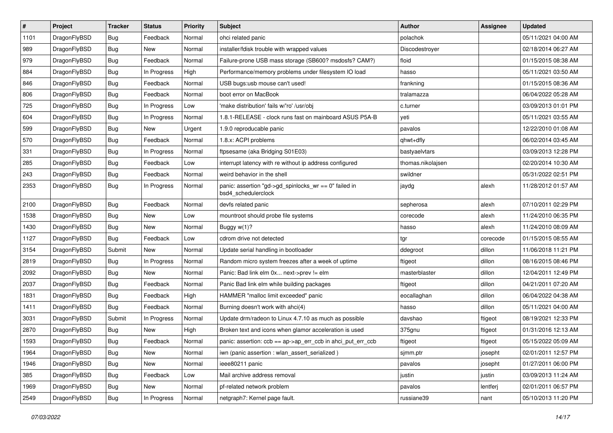| $\pmb{\#}$ | Project      | <b>Tracker</b> | <b>Status</b> | <b>Priority</b> | Subject                                                                      | <b>Author</b>     | <b>Assignee</b> | <b>Updated</b>      |
|------------|--------------|----------------|---------------|-----------------|------------------------------------------------------------------------------|-------------------|-----------------|---------------------|
| 1101       | DragonFlyBSD | Bug            | Feedback      | Normal          | ohci related panic                                                           | polachok          |                 | 05/11/2021 04:00 AM |
| 989        | DragonFlyBSD | Bug            | <b>New</b>    | Normal          | installer/fdisk trouble with wrapped values                                  | Discodestroyer    |                 | 02/18/2014 06:27 AM |
| 979        | DragonFlyBSD | Bug            | Feedback      | Normal          | Failure-prone USB mass storage (SB600? msdosfs? CAM?)                        | floid             |                 | 01/15/2015 08:38 AM |
| 884        | DragonFlyBSD | Bug            | In Progress   | High            | Performance/memory problems under filesystem IO load                         | hasso             |                 | 05/11/2021 03:50 AM |
| 846        | DragonFlyBSD | Bug            | Feedback      | Normal          | USB bugs:usb mouse can't used!                                               | frankning         |                 | 01/15/2015 08:36 AM |
| 806        | DragonFlyBSD | Bug            | Feedback      | Normal          | boot error on MacBook                                                        | tralamazza        |                 | 06/04/2022 05:28 AM |
| 725        | DragonFlyBSD | Bug            | In Progress   | Low             | 'make distribution' fails w/'ro' /usr/obj                                    | c.turner          |                 | 03/09/2013 01:01 PM |
| 604        | DragonFlyBSD | Bug            | In Progress   | Normal          | 1.8.1-RELEASE - clock runs fast on mainboard ASUS P5A-B                      | yeti              |                 | 05/11/2021 03:55 AM |
| 599        | DragonFlyBSD | <b>Bug</b>     | New           | Urgent          | 1.9.0 reproducable panic                                                     | pavalos           |                 | 12/22/2010 01:08 AM |
| 570        | DragonFlyBSD | Bug            | Feedback      | Normal          | 1.8.x: ACPI problems                                                         | qhwt+dfly         |                 | 06/02/2014 03:45 AM |
| 331        | DragonFlyBSD | Bug            | In Progress   | Normal          | ftpsesame (aka Bridging S01E03)                                              | bastyaelvtars     |                 | 03/09/2013 12:28 PM |
| 285        | DragonFlyBSD | Bug            | Feedback      | Low             | interrupt latency with re without ip address configured                      | thomas.nikolajsen |                 | 02/20/2014 10:30 AM |
| 243        | DragonFlyBSD | <b>Bug</b>     | Feedback      | Normal          | weird behavior in the shell                                                  | swildner          |                 | 05/31/2022 02:51 PM |
| 2353       | DragonFlyBSD | <b>Bug</b>     | In Progress   | Normal          | panic: assertion "gd->gd_spinlocks_wr == 0" failed in<br>bsd4 schedulerclock | jaydg             | alexh           | 11/28/2012 01:57 AM |
| 2100       | DragonFlyBSD | Bug            | Feedback      | Normal          | devfs related panic                                                          | sepherosa         | alexh           | 07/10/2011 02:29 PM |
| 1538       | DragonFlyBSD | Bug            | New           | Low             | mountroot should probe file systems                                          | corecode          | alexh           | 11/24/2010 06:35 PM |
| 1430       | DragonFlyBSD | Bug            | <b>New</b>    | Normal          | Buggy $w(1)$ ?                                                               | hasso             | alexh           | 11/24/2010 08:09 AM |
| 1127       | DragonFlyBSD | Bug            | Feedback      | Low             | cdrom drive not detected                                                     | tgr               | corecode        | 01/15/2015 08:55 AM |
| 3154       | DragonFlyBSD | Submit         | <b>New</b>    | Normal          | Update serial handling in bootloader                                         | ddegroot          | dillon          | 11/06/2018 11:21 PM |
| 2819       | DragonFlyBSD | Bug            | In Progress   | Normal          | Random micro system freezes after a week of uptime                           | ftigeot           | dillon          | 08/16/2015 08:46 PM |
| 2092       | DragonFlyBSD | <b>Bug</b>     | New           | Normal          | Panic: Bad link elm 0x next->prev != elm                                     | masterblaster     | dillon          | 12/04/2011 12:49 PM |
| 2037       | DragonFlyBSD | Bug            | Feedback      | Normal          | Panic Bad link elm while building packages                                   | ftigeot           | dillon          | 04/21/2011 07:20 AM |
| 1831       | DragonFlyBSD | <b>Bug</b>     | Feedback      | High            | HAMMER "malloc limit exceeded" panic                                         | eocallaghan       | dillon          | 06/04/2022 04:38 AM |
| 1411       | DragonFlyBSD | Bug            | Feedback      | Normal          | Burning doesn't work with ahci(4)                                            | hasso             | dillon          | 05/11/2021 04:00 AM |
| 3031       | DragonFlyBSD | Submit         | In Progress   | Normal          | Update drm/radeon to Linux 4.7.10 as much as possible                        | davshao           | ftigeot         | 08/19/2021 12:33 PM |
| 2870       | DragonFlyBSD | <b>Bug</b>     | <b>New</b>    | High            | Broken text and icons when glamor acceleration is used                       | 375gnu            | ftigeot         | 01/31/2016 12:13 AM |
| 1593       | DragonFlyBSD | Bug            | Feedback      | Normal          | panic: assertion: ccb == ap->ap_err_ccb in ahci_put_err_ccb                  | ftigeot           | ftigeot         | 05/15/2022 05:09 AM |
| 1964       | DragonFlyBSD | <b>Bug</b>     | <b>New</b>    | Normal          | iwn (panic assertion : wlan assert serialized)                               | sjmm.ptr          | josepht         | 02/01/2011 12:57 PM |
| 1946       | DragonFlyBSD | <b>Bug</b>     | New           | Normal          | ieee80211 panic                                                              | pavalos           | josepht         | 01/27/2011 06:00 PM |
| 385        | DragonFlyBSD | <b>Bug</b>     | Feedback      | Low             | Mail archive address removal                                                 | justin            | justin          | 03/09/2013 11:24 AM |
| 1969       | DragonFlyBSD | Bug            | New           | Normal          | pf-related network problem                                                   | pavalos           | lentferj        | 02/01/2011 06:57 PM |
| 2549       | DragonFlyBSD | <b>Bug</b>     | In Progress   | Normal          | netgraph7: Kernel page fault.                                                | russiane39        | nant            | 05/10/2013 11:20 PM |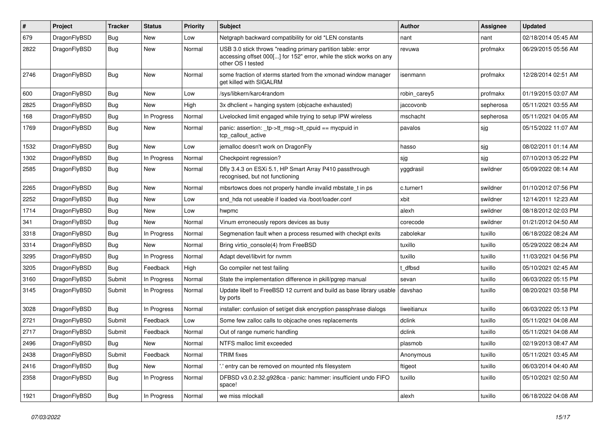| $\sharp$ | Project      | <b>Tracker</b> | <b>Status</b> | <b>Priority</b> | Subject                                                                                                                                                  | <b>Author</b> | Assignee  | <b>Updated</b>      |
|----------|--------------|----------------|---------------|-----------------|----------------------------------------------------------------------------------------------------------------------------------------------------------|---------------|-----------|---------------------|
| 679      | DragonFlyBSD | <b>Bug</b>     | New           | Low             | Netgraph backward compatibility for old *LEN constants                                                                                                   | nant          | nant      | 02/18/2014 05:45 AM |
| 2822     | DragonFlyBSD | <b>Bug</b>     | New           | Normal          | USB 3.0 stick throws "reading primary partition table: error<br>accessing offset 000[] for 152" error, while the stick works on any<br>other OS I tested | revuwa        | profmakx  | 06/29/2015 05:56 AM |
| 2746     | DragonFlyBSD | <b>Bug</b>     | New           | Normal          | some fraction of xterms started from the xmonad window manager<br>get killed with SIGALRM                                                                | isenmann      | profmakx  | 12/28/2014 02:51 AM |
| 600      | DragonFlyBSD | <b>Bug</b>     | New           | Low             | /sys/libkern/karc4random                                                                                                                                 | robin carey5  | profmakx  | 01/19/2015 03:07 AM |
| 2825     | DragonFlyBSD | <b>Bug</b>     | New           | High            | 3x dhclient = hanging system (objcache exhausted)                                                                                                        | jaccovonb     | sepherosa | 05/11/2021 03:55 AM |
| 168      | DragonFlyBSD | <b>Bug</b>     | In Progress   | Normal          | Livelocked limit engaged while trying to setup IPW wireless                                                                                              | mschacht      | sepherosa | 05/11/2021 04:05 AM |
| 1769     | DragonFlyBSD | <b>Bug</b>     | New           | Normal          | panic: assertion: _tp->tt_msg->tt_cpuid == mycpuid in<br>tcp callout active                                                                              | pavalos       | sjg       | 05/15/2022 11:07 AM |
| 1532     | DragonFlyBSD | <b>Bug</b>     | New           | Low             | jemalloc doesn't work on DragonFly                                                                                                                       | hasso         | sjg       | 08/02/2011 01:14 AM |
| 1302     | DragonFlyBSD | <b>Bug</b>     | In Progress   | Normal          | Checkpoint regression?                                                                                                                                   | sjg           | sjg       | 07/10/2013 05:22 PM |
| 2585     | DragonFlyBSD | <b>Bug</b>     | New           | Normal          | Dfly 3.4.3 on ESXi 5.1, HP Smart Array P410 passthrough<br>recognised, but not functioning                                                               | yggdrasil     | swildner  | 05/09/2022 08:14 AM |
| 2265     | DragonFlyBSD | <b>Bug</b>     | <b>New</b>    | Normal          | mbsrtowcs does not properly handle invalid mbstate_t in ps                                                                                               | c.turner1     | swildner  | 01/10/2012 07:56 PM |
| 2252     | DragonFlyBSD | <b>Bug</b>     | <b>New</b>    | Low             | snd hda not useable if loaded via /boot/loader.conf                                                                                                      | xbit          | swildner  | 12/14/2011 12:23 AM |
| 1714     | DragonFlyBSD | <b>Bug</b>     | New           | Low             | hwpmc                                                                                                                                                    | alexh         | swildner  | 08/18/2012 02:03 PM |
| 341      | DragonFlyBSD | Bug            | New           | Normal          | Vinum erroneously repors devices as busy                                                                                                                 | corecode      | swildner  | 01/21/2012 04:50 AM |
| 3318     | DragonFlyBSD | <b>Bug</b>     | In Progress   | Normal          | Segmenation fault when a process resumed with checkpt exits                                                                                              | zabolekar     | tuxillo   | 06/18/2022 08:24 AM |
| 3314     | DragonFlyBSD | <b>Bug</b>     | New           | Normal          | Bring virtio_console(4) from FreeBSD                                                                                                                     | tuxillo       | tuxillo   | 05/29/2022 08:24 AM |
| 3295     | DragonFlyBSD | <b>Bug</b>     | In Progress   | Normal          | Adapt devel/libvirt for nvmm                                                                                                                             | tuxillo       | tuxillo   | 11/03/2021 04:56 PM |
| 3205     | DragonFlyBSD | <b>Bug</b>     | Feedback      | High            | Go compiler net test failing                                                                                                                             | t dfbsd       | tuxillo   | 05/10/2021 02:45 AM |
| 3160     | DragonFlyBSD | Submit         | In Progress   | Normal          | State the implementation difference in pkill/pgrep manual                                                                                                | sevan         | tuxillo   | 06/03/2022 05:15 PM |
| 3145     | DragonFlyBSD | Submit         | In Progress   | Normal          | Update libelf to FreeBSD 12 current and build as base library usable<br>by ports                                                                         | davshao       | tuxillo   | 08/20/2021 03:58 PM |
| 3028     | DragonFlyBSD | Bug            | In Progress   | Normal          | installer: confusion of set/get disk encryption passphrase dialogs                                                                                       | liweitianux   | tuxillo   | 06/03/2022 05:13 PM |
| 2721     | DragonFlyBSD | Submit         | Feedback      | Low             | Some few zalloc calls to objcache ones replacements                                                                                                      | dclink        | tuxillo   | 05/11/2021 04:08 AM |
| 2717     | DragonFlyBSD | Submit         | Feedback      | Normal          | Out of range numeric handling                                                                                                                            | dclink        | tuxillo   | 05/11/2021 04:08 AM |
| 2496     | DragonFlyBSD | <b>Bug</b>     | <b>New</b>    | Normal          | NTFS malloc limit exceeded                                                                                                                               | plasmob       | tuxillo   | 02/19/2013 08:47 AM |
| 2438     | DragonFlyBSD | Submit         | Feedback      | Normal          | <b>TRIM</b> fixes                                                                                                                                        | Anonymous     | tuxillo   | 05/11/2021 03:45 AM |
| 2416     | DragonFlyBSD | <b>Bug</b>     | New           | Normal          | ".' entry can be removed on mounted nfs filesystem                                                                                                       | ftigeot       | tuxillo   | 06/03/2014 04:40 AM |
| 2358     | DragonFlyBSD | <b>Bug</b>     | In Progress   | Normal          | DFBSD v3.0.2.32.g928ca - panic: hammer: insufficient undo FIFO<br>space!                                                                                 | tuxillo       | tuxillo   | 05/10/2021 02:50 AM |
| 1921     | DragonFlyBSD | <b>Bug</b>     | In Progress   | Normal          | we miss mlockall                                                                                                                                         | alexh         | tuxillo   | 06/18/2022 04:08 AM |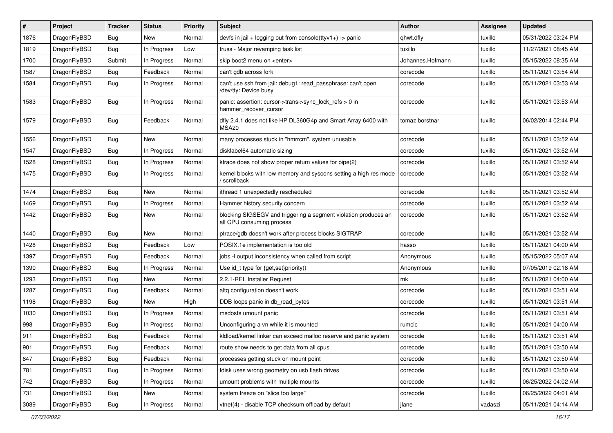| ∦    | Project      | <b>Tracker</b> | <b>Status</b> | <b>Priority</b> | <b>Subject</b>                                                                               | <b>Author</b>    | <b>Assignee</b> | <b>Updated</b>      |
|------|--------------|----------------|---------------|-----------------|----------------------------------------------------------------------------------------------|------------------|-----------------|---------------------|
| 1876 | DragonFlyBSD | <b>Bug</b>     | <b>New</b>    | Normal          | devfs in jail + logging out from console(ttyv1+) -> panic                                    | qhwt.dfly        | tuxillo         | 05/31/2022 03:24 PM |
| 1819 | DragonFlyBSD | <b>Bug</b>     | In Progress   | Low             | truss - Major revamping task list                                                            | tuxillo          | tuxillo         | 11/27/2021 08:45 AM |
| 1700 | DragonFlyBSD | Submit         | In Progress   | Normal          | skip boot2 menu on <enter></enter>                                                           | Johannes.Hofmann | tuxillo         | 05/15/2022 08:35 AM |
| 1587 | DragonFlyBSD | <b>Bug</b>     | Feedback      | Normal          | can't gdb across fork                                                                        | corecode         | tuxillo         | 05/11/2021 03:54 AM |
| 1584 | DragonFlyBSD | Bug            | In Progress   | Normal          | can't use ssh from jail: debug1: read passphrase: can't open<br>/dev/tty: Device busy        | corecode         | tuxillo         | 05/11/2021 03:53 AM |
| 1583 | DragonFlyBSD | <b>Bug</b>     | In Progress   | Normal          | panic: assertion: cursor->trans->sync_lock_refs > 0 in<br>hammer_recover_cursor              | corecode         | tuxillo         | 05/11/2021 03:53 AM |
| 1579 | DragonFlyBSD | Bug            | Feedback      | Normal          | dfly 2.4.1 does not like HP DL360G4p and Smart Array 6400 with<br>MSA <sub>20</sub>          | tomaz.borstnar   | tuxillo         | 06/02/2014 02:44 PM |
| 1556 | DragonFlyBSD | <b>Bug</b>     | New           | Normal          | many processes stuck in "hmrrcm", system unusable                                            | corecode         | tuxillo         | 05/11/2021 03:52 AM |
| 1547 | DragonFlyBSD | Bug            | In Progress   | Normal          | disklabel64 automatic sizing                                                                 | corecode         | tuxillo         | 05/11/2021 03:52 AM |
| 1528 | DragonFlyBSD | <b>Bug</b>     | In Progress   | Normal          | ktrace does not show proper return values for pipe(2)                                        | corecode         | tuxillo         | 05/11/2021 03:52 AM |
| 1475 | DragonFlyBSD | Bug            | In Progress   | Normal          | kernel blocks with low memory and syscons setting a high res mode<br>scrollback              | corecode         | tuxillo         | 05/11/2021 03:52 AM |
| 1474 | DragonFlyBSD | <b>Bug</b>     | New           | Normal          | ithread 1 unexpectedly rescheduled                                                           | corecode         | tuxillo         | 05/11/2021 03:52 AM |
| 1469 | DragonFlyBSD | <b>Bug</b>     | In Progress   | Normal          | Hammer history security concern                                                              | corecode         | tuxillo         | 05/11/2021 03:52 AM |
| 1442 | DragonFlyBSD | <b>Bug</b>     | New           | Normal          | blocking SIGSEGV and triggering a segment violation produces an<br>all CPU consuming process | corecode         | tuxillo         | 05/11/2021 03:52 AM |
| 1440 | DragonFlyBSD | Bug            | <b>New</b>    | Normal          | ptrace/gdb doesn't work after process blocks SIGTRAP                                         | corecode         | tuxillo         | 05/11/2021 03:52 AM |
| 1428 | DragonFlyBSD | <b>Bug</b>     | Feedback      | Low             | POSIX.1e implementation is too old                                                           | hasso            | tuxillo         | 05/11/2021 04:00 AM |
| 1397 | DragonFlyBSD | <b>Bug</b>     | Feedback      | Normal          | jobs -I output inconsistency when called from script                                         | Anonymous        | tuxillo         | 05/15/2022 05:07 AM |
| 1390 | DragonFlyBSD | Bug            | In Progress   | Normal          | Use id_t type for {get,set}priority()                                                        | Anonymous        | tuxillo         | 07/05/2019 02:18 AM |
| 1293 | DragonFlyBSD | Bug            | New           | Normal          | 2.2.1-REL Installer Request                                                                  | mk               | tuxillo         | 05/11/2021 04:00 AM |
| 1287 | DragonFlyBSD | <b>Bug</b>     | Feedback      | Normal          | altq configuration doesn't work                                                              | corecode         | tuxillo         | 05/11/2021 03:51 AM |
| 1198 | DragonFlyBSD | <b>Bug</b>     | <b>New</b>    | High            | DDB loops panic in db read bytes                                                             | corecode         | tuxillo         | 05/11/2021 03:51 AM |
| 1030 | DragonFlyBSD | Bug            | In Progress   | Normal          | msdosfs umount panic                                                                         | corecode         | tuxillo         | 05/11/2021 03:51 AM |
| 998  | DragonFlyBSD | Bug            | In Progress   | Normal          | Unconfiguring a vn while it is mounted                                                       | rumcic           | tuxillo         | 05/11/2021 04:00 AM |
| 911  | DragonFlyBSD | <b>Bug</b>     | Feedback      | Normal          | kldload/kernel linker can exceed malloc reserve and panic system                             | corecode         | tuxillo         | 05/11/2021 03:51 AM |
| 901  | DragonFlyBSD | <b>Bug</b>     | Feedback      | Normal          | route show needs to get data from all cpus                                                   | corecode         | tuxillo         | 05/11/2021 03:50 AM |
| 847  | DragonFlyBSD | Bug            | Feedback      | Normal          | processes getting stuck on mount point                                                       | corecode         | tuxillo         | 05/11/2021 03:50 AM |
| 781  | DragonFlyBSD | <b>Bug</b>     | In Progress   | Normal          | fdisk uses wrong geometry on usb flash drives                                                | corecode         | tuxillo         | 05/11/2021 03:50 AM |
| 742  | DragonFlyBSD | <b>Bug</b>     | In Progress   | Normal          | umount problems with multiple mounts                                                         | corecode         | tuxillo         | 06/25/2022 04:02 AM |
| 731  | DragonFlyBSD | <b>Bug</b>     | New           | Normal          | system freeze on "slice too large"                                                           | corecode         | tuxillo         | 06/25/2022 04:01 AM |
| 3089 | DragonFlyBSD | <b>Bug</b>     | In Progress   | Normal          | vtnet(4) - disable TCP checksum offload by default                                           | jlane            | vadaszi         | 05/11/2021 04:14 AM |